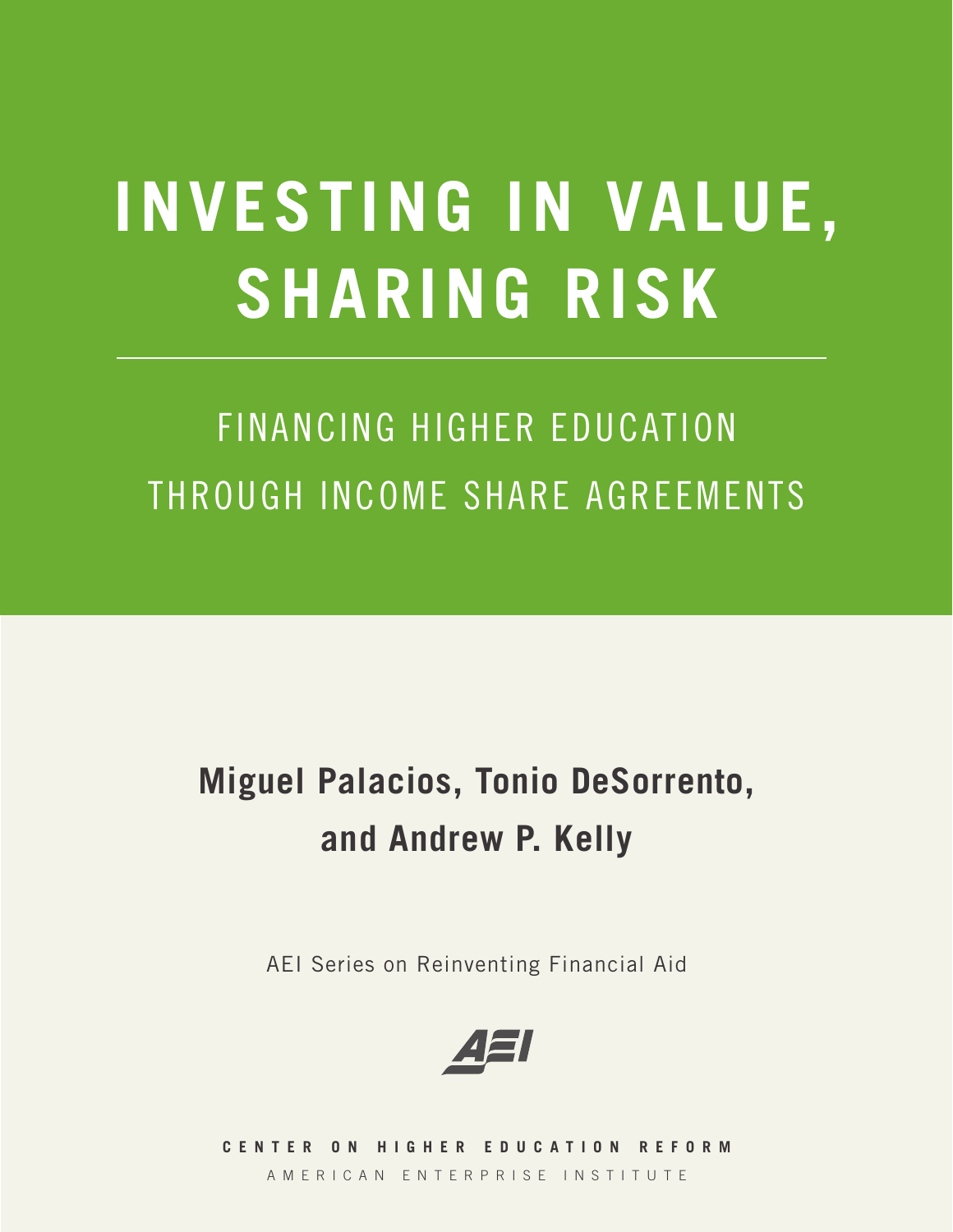# **INVESTING IN VALUE, SHARING RISK**

## FINANCING HIGHER EDUCATION THROUGH INCOME SHARE AGREEMENTS

## **Miguel Palacios, Tonio DeSorrento, and Andrew P. Kelly**

AEI Series on Reinventing Financial Aid



**C E N T E R O N H I G H E R E D U C A T I O N R E F O R M**  AMERICAN ENTERPRISE INSTITUTE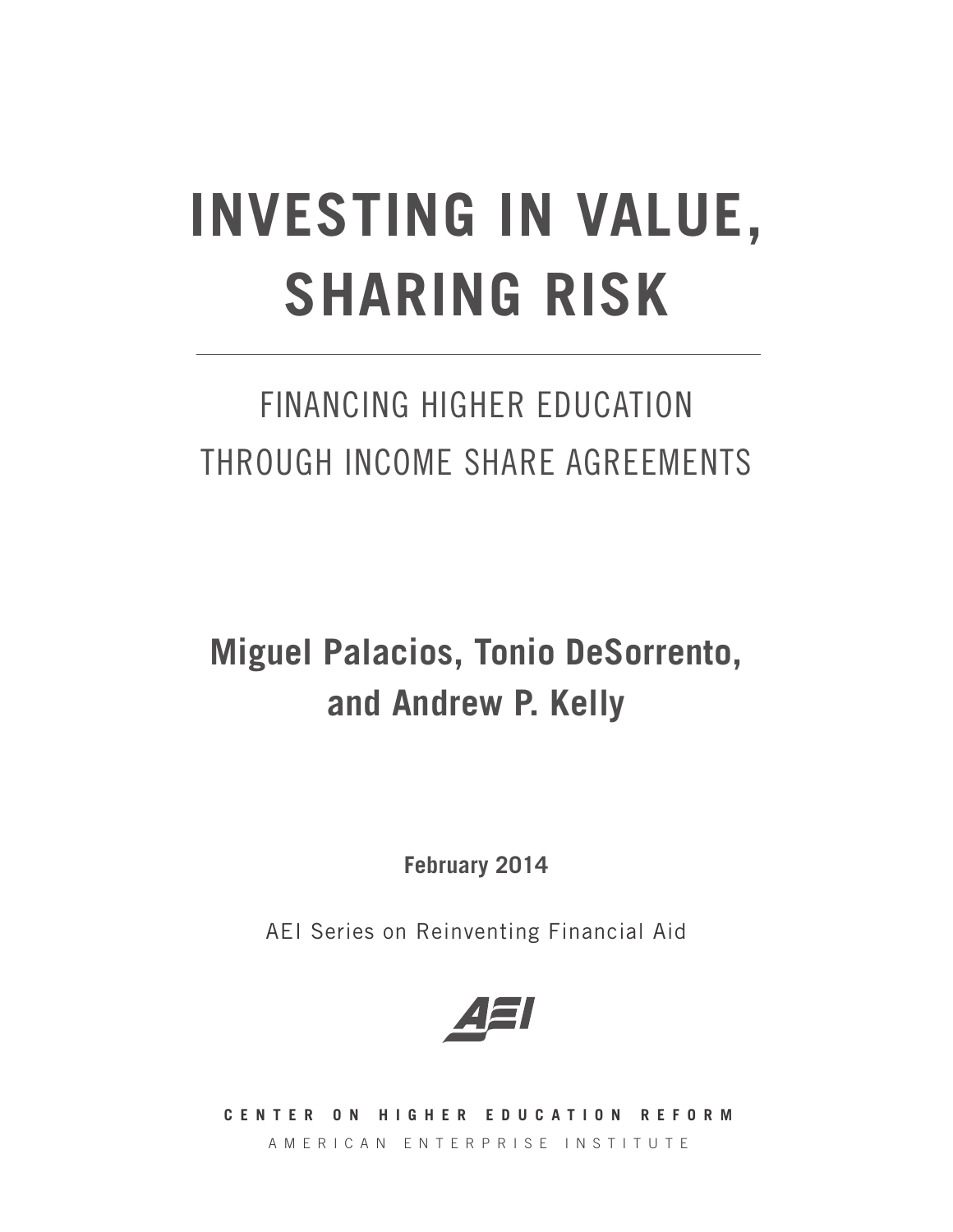# **INVESTING IN VALUE, SHARING RISK**

### FINANCING HIGHER EDUCATION THROUGH INCOME SHARE AGREEMENTS

### **Miguel Palacios, Tonio DeSorrento, and Andrew P. Kelly**

**February 2014**

AEI Series on Reinventing Financial Aid



**C E N T E R O N H I G H E R E D U C A T I O N R E F O R M**  AMERICAN ENTERPRISE INSTITUTE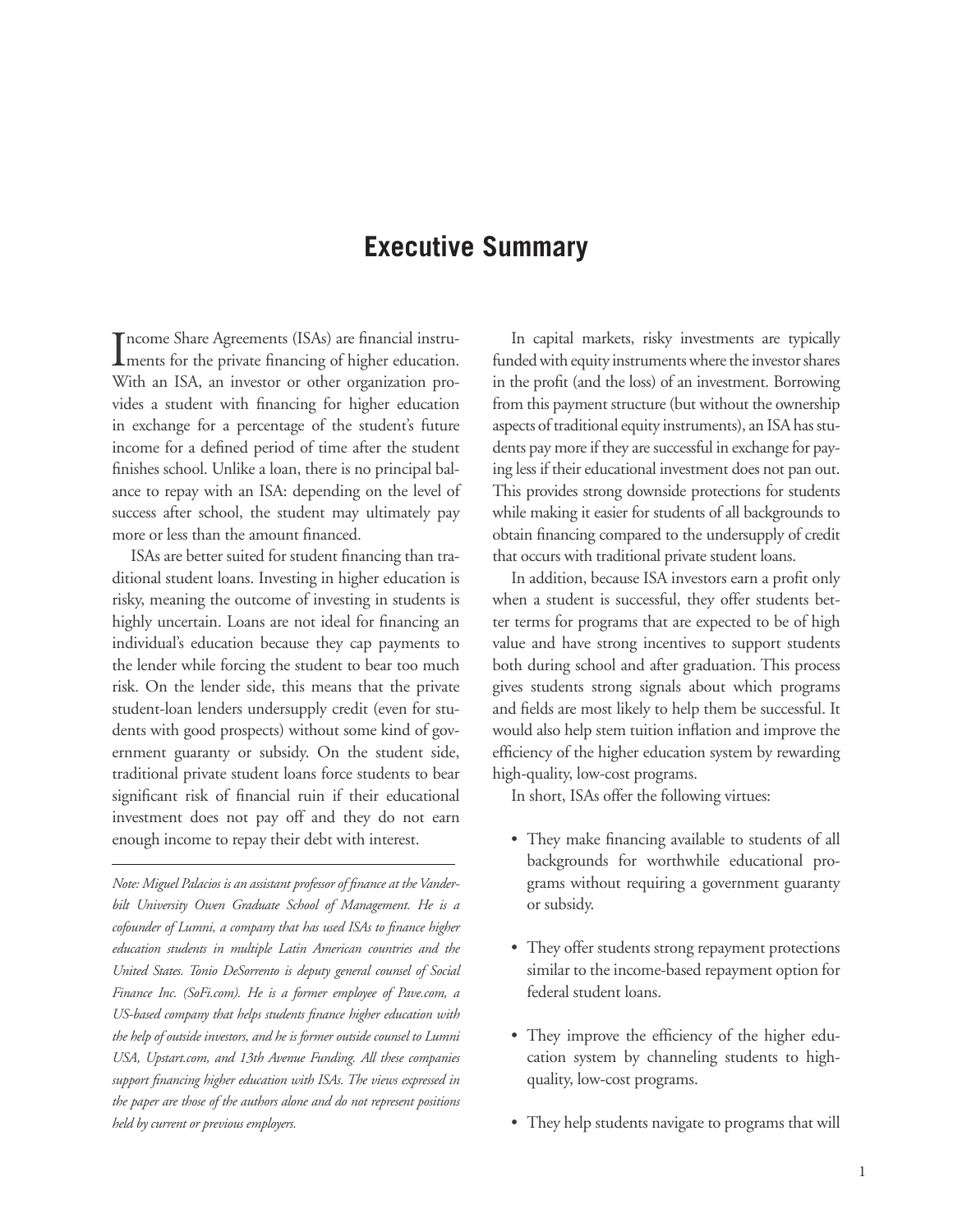### **Executive Summary**

Income Share Agreements (ISAs) are financial instru-<br>ments for the private financing of higher education. ncome Share Agreements (ISAs) are financial instru-With an ISA, an investor or other organization provides a student with financing for higher education in exchange for a percentage of the student's future income for a defined period of time after the student finishes school. Unlike a loan, there is no principal balance to repay with an ISA: depending on the level of success after school, the student may ultimately pay more or less than the amount financed.

ISAs are better suited for student financing than traditional student loans. Investing in higher education is risky, meaning the outcome of investing in students is highly uncertain. Loans are not ideal for financing an individual's education because they cap payments to the lender while forcing the student to bear too much risk. On the lender side, this means that the private student-loan lenders undersupply credit (even for students with good prospects) without some kind of government guaranty or subsidy. On the student side, traditional private student loans force students to bear significant risk of financial ruin if their educational investment does not pay off and they do not earn enough income to repay their debt with interest.

*Note: Miguel Palacios is an assistant professor of finance at the Vanderbilt University Owen Graduate School of Management. He is a cofounder of Lumni, a company that has used ISAs to finance higher education students in multiple Latin American countries and the United States. Tonio DeSorrento is deputy general counsel of Social Finance Inc. (SoFi.com). He is a former employee of Pave.com, a US-based company that helps students finance higher education with the help of outside investors, and he is former outside counsel to Lumni USA, Upstart.com, and 13th Avenue Funding. All these companies support financing higher education with ISAs. The views expressed in the paper are those of the authors alone and do not represent positions held by current or previous employers.*

In capital markets, risky investments are typically funded with equity instruments where the investor shares in the profit (and the loss) of an investment. Borrowing from this payment structure (but without the ownership aspects of traditional equity instruments), an ISA has students pay more if they are successful in exchange for paying less if their educational investment does not pan out. This provides strong downside protections for students while making it easier for students of all backgrounds to obtain financing compared to the undersupply of credit that occurs with traditional private student loans.

In addition, because ISA investors earn a profit only when a student is successful, they offer students better terms for programs that are expected to be of high value and have strong incentives to support students both during school and after graduation. This process gives students strong signals about which programs and fields are most likely to help them be successful. It would also help stem tuition inflation and improve the efficiency of the higher education system by rewarding high-quality, low-cost programs.

In short, ISAs offer the following virtues:

- They make financing available to students of all backgrounds for worthwhile educational programs without requiring a government guaranty or subsidy.
- They offer students strong repayment protections similar to the income-based repayment option for federal student loans.
- They improve the efficiency of the higher education system by channeling students to highquality, low-cost programs.
- They help students navigate to programs that will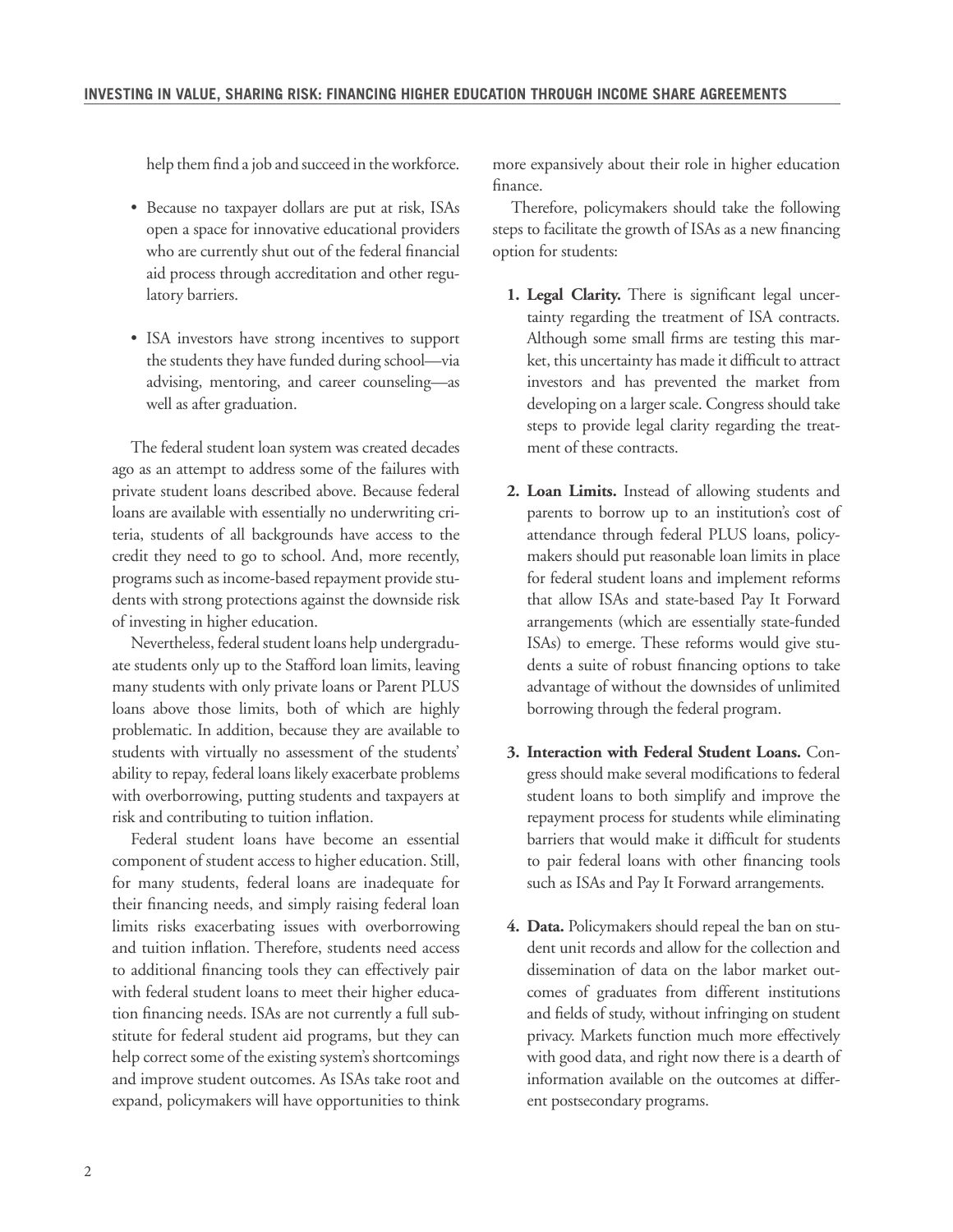help them find a job and succeed in the workforce.

- Because no taxpayer dollars are put at risk, ISAs open a space for innovative educational providers who are currently shut out of the federal financial aid process through accreditation and other regulatory barriers.
- ISA investors have strong incentives to support the students they have funded during school—via advising, mentoring, and career counseling—as well as after graduation.

The federal student loan system was created decades ago as an attempt to address some of the failures with private student loans described above. Because federal loans are available with essentially no underwriting criteria, students of all backgrounds have access to the credit they need to go to school. And, more recently, programs such as income-based repayment provide students with strong protections against the downside risk of investing in higher education.

Nevertheless, federal student loans help undergraduate students only up to the Stafford loan limits, leaving many students with only private loans or Parent PLUS loans above those limits, both of which are highly problematic. In addition, because they are available to students with virtually no assessment of the students' ability to repay, federal loans likely exacerbate problems with overborrowing, putting students and taxpayers at risk and contributing to tuition inflation.

Federal student loans have become an essential component of student access to higher education. Still, for many students, federal loans are inadequate for their financing needs, and simply raising federal loan limits risks exacerbating issues with overborrowing and tuition inflation. Therefore, students need access to additional financing tools they can effectively pair with federal student loans to meet their higher education financing needs. ISAs are not currently a full substitute for federal student aid programs, but they can help correct some of the existing system's shortcomings and improve student outcomes. As ISAs take root and expand, policymakers will have opportunities to think

more expansively about their role in higher education finance.

Therefore, policymakers should take the following steps to facilitate the growth of ISAs as a new financing option for students:

- **1. Legal Clarity.** There is significant legal uncertainty regarding the treatment of ISA contracts. Although some small firms are testing this market, this uncertainty has made it difficult to attract investors and has prevented the market from developing on a larger scale. Congress should take steps to provide legal clarity regarding the treatment of these contracts.
- **2. Loan Limits.** Instead of allowing students and parents to borrow up to an institution's cost of attendance through federal PLUS loans, policymakers should put reasonable loan limits in place for federal student loans and implement reforms that allow ISAs and state-based Pay It Forward arrangements (which are essentially state-funded ISAs) to emerge. These reforms would give students a suite of robust financing options to take advantage of without the downsides of unlimited borrowing through the federal program.
- **3. Interaction with Federal Student Loans.** Congress should make several modifications to federal student loans to both simplify and improve the repayment process for students while eliminating barriers that would make it difficult for students to pair federal loans with other financing tools such as ISAs and Pay It Forward arrangements.
- **4. Data.** Policymakers should repeal the ban on student unit records and allow for the collection and dissemination of data on the labor market outcomes of graduates from different institutions and fields of study, without infringing on student privacy. Markets function much more effectively with good data, and right now there is a dearth of information available on the outcomes at different postsecondary programs.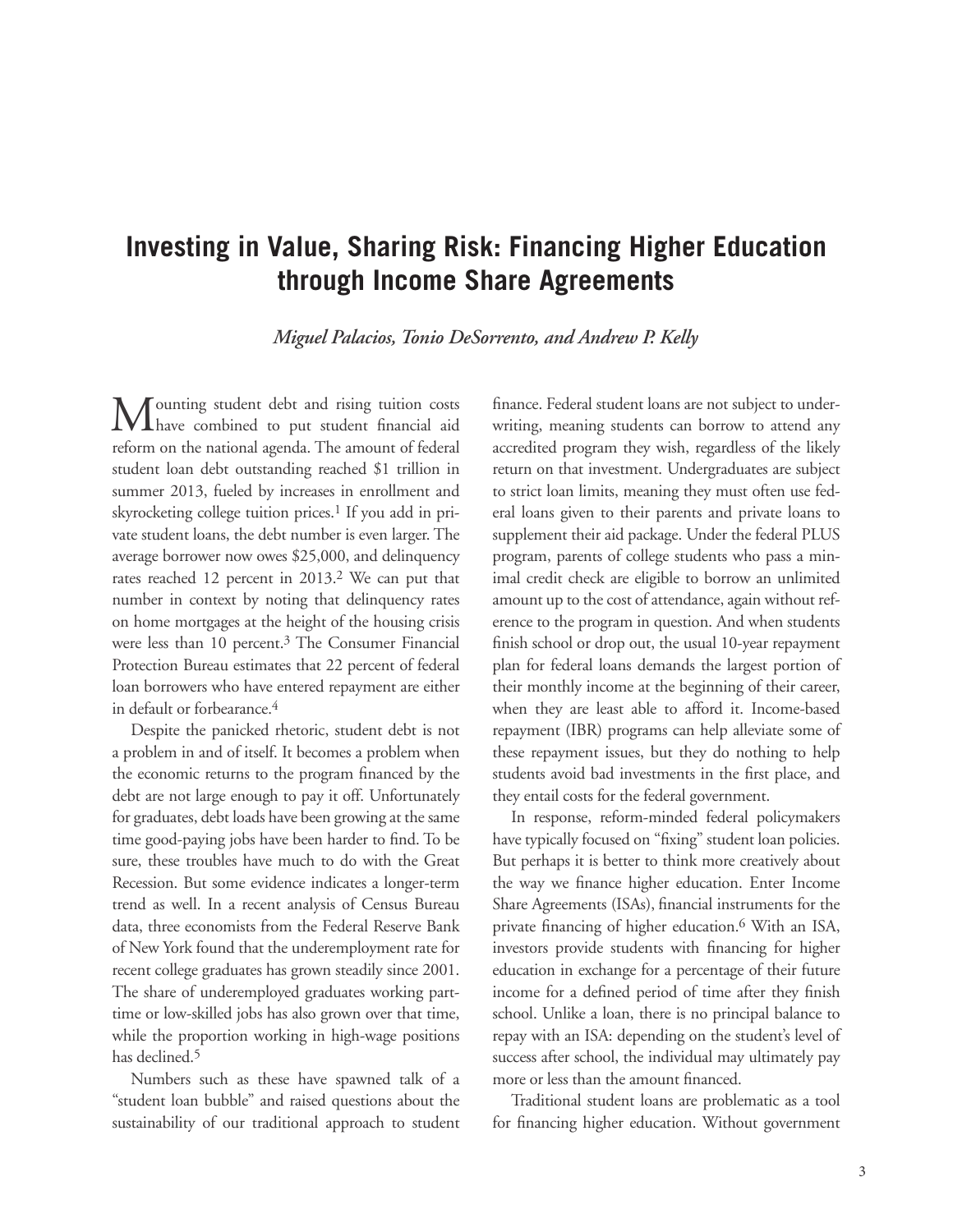### **Investing in Value, Sharing Risk: Financing Higher Education through Income Share Agreements**

*Miguel Palacios, Tonio DeSorrento, and Andrew P. Kelly*

Mounting student debt and rising tuition costs have combined to put student financial aid reform on the national agenda. The amount of federal student loan debt outstanding reached \$1 trillion in summer 2013, fueled by increases in enrollment and skyrocketing college tuition prices.<sup>1</sup> If you add in private student loans, the debt number is even larger. The average borrower now owes \$25,000, and delinquency rates reached 12 percent in 2013.<sup>2</sup> We can put that number in context by noting that delinquency rates on home mortgages at the height of the housing crisis were less than 10 percent.3 The Consumer Financial Protection Bureau estimates that 22 percent of federal loan borrowers who have entered repayment are either in default or forbearance.<sup>4</sup>

Despite the panicked rhetoric, student debt is not a problem in and of itself. It becomes a problem when the economic returns to the program financed by the debt are not large enough to pay it off. Unfortunately for graduates, debt loads have been growing at the same time good-paying jobs have been harder to find. To be sure, these troubles have much to do with the Great Recession. But some evidence indicates a longer-term trend as well. In a recent analysis of Census Bureau data, three economists from the Federal Reserve Bank of New York found that the underemployment rate for recent college graduates has grown steadily since 2001. The share of underemployed graduates working parttime or low-skilled jobs has also grown over that time, while the proportion working in high-wage positions has declined.5

Numbers such as these have spawned talk of a "student loan bubble" and raised questions about the sustainability of our traditional approach to student finance. Federal student loans are not subject to underwriting, meaning students can borrow to attend any accredited program they wish, regardless of the likely return on that investment. Undergraduates are subject to strict loan limits, meaning they must often use federal loans given to their parents and private loans to supplement their aid package. Under the federal PLUS program, parents of college students who pass a minimal credit check are eligible to borrow an unlimited amount up to the cost of attendance, again without reference to the program in question. And when students finish school or drop out, the usual 10-year repayment plan for federal loans demands the largest portion of their monthly income at the beginning of their career, when they are least able to afford it. Income-based repayment (IBR) programs can help alleviate some of these repayment issues, but they do nothing to help students avoid bad investments in the first place, and they entail costs for the federal government.

In response, reform-minded federal policymakers have typically focused on "fixing" student loan policies. But perhaps it is better to think more creatively about the way we finance higher education. Enter Income Share Agreements (ISAs), financial instruments for the private financing of higher education.<sup>6</sup> With an ISA, investors provide students with financing for higher education in exchange for a percentage of their future income for a defined period of time after they finish school. Unlike a loan, there is no principal balance to repay with an ISA: depending on the student's level of success after school, the individual may ultimately pay more or less than the amount financed.

Traditional student loans are problematic as a tool for financing higher education. Without government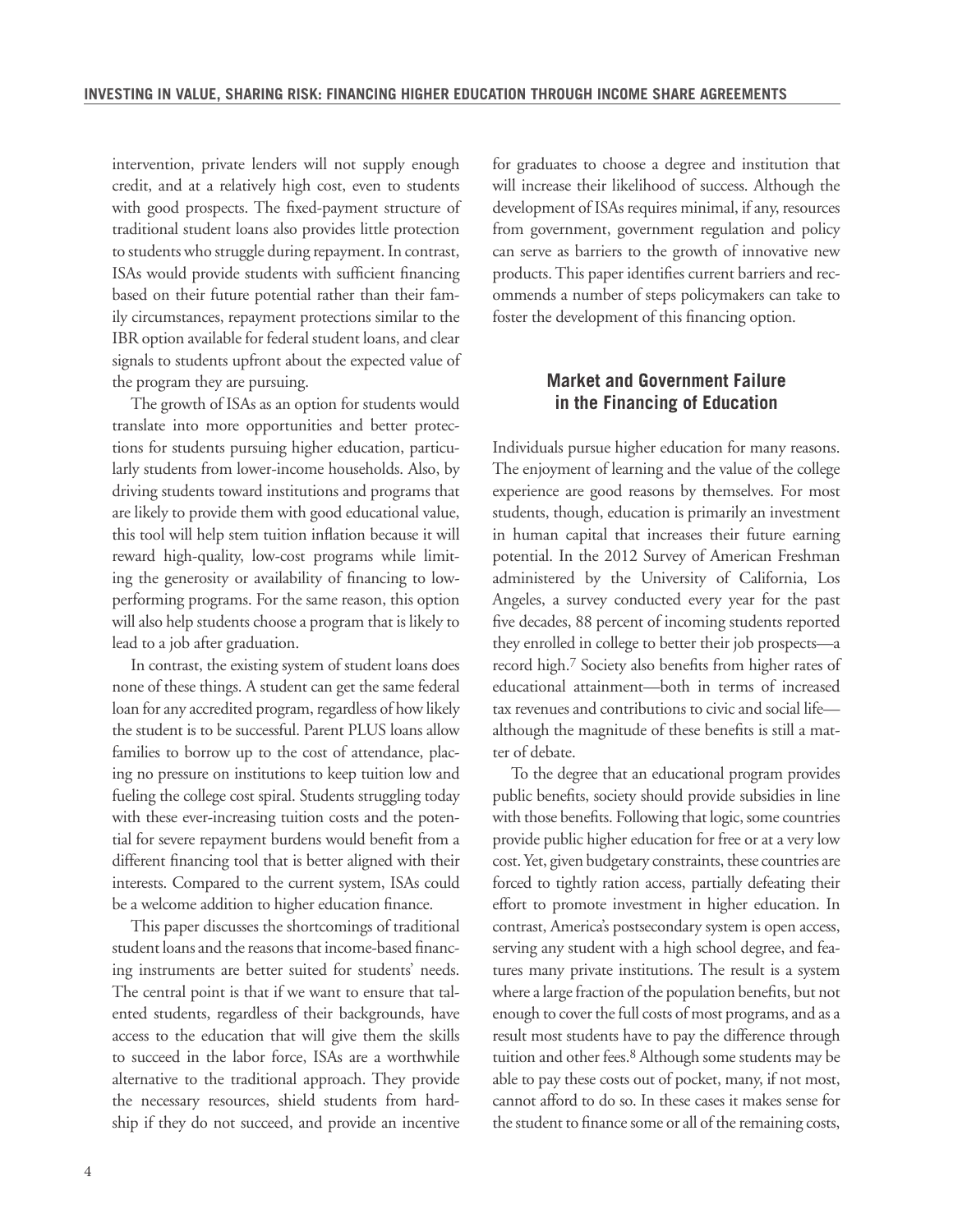intervention, private lenders will not supply enough credit, and at a relatively high cost, even to students with good prospects. The fixed-payment structure of traditional student loans also provides little protection to students who struggle during repayment. In contrast, ISAs would provide students with sufficient financing based on their future potential rather than their family circumstances, repayment protections similar to the IBR option available for federal student loans, and clear signals to students upfront about the expected value of the program they are pursuing.

The growth of ISAs as an option for students would translate into more opportunities and better protections for students pursuing higher education, particularly students from lower-income households. Also, by driving students toward institutions and programs that are likely to provide them with good educational value, this tool will help stem tuition inflation because it will reward high-quality, low-cost programs while limiting the generosity or availability of financing to lowperforming programs. For the same reason, this option will also help students choose a program that is likely to lead to a job after graduation.

In contrast, the existing system of student loans does none of these things. A student can get the same federal loan for any accredited program, regardless of how likely the student is to be successful. Parent PLUS loans allow families to borrow up to the cost of attendance, placing no pressure on institutions to keep tuition low and fueling the college cost spiral. Students struggling today with these ever-increasing tuition costs and the potential for severe repayment burdens would benefit from a different financing tool that is better aligned with their interests. Compared to the current system, ISAs could be a welcome addition to higher education finance.

This paper discusses the shortcomings of traditional student loans and the reasons that income-based financing instruments are better suited for students' needs. The central point is that if we want to ensure that talented students, regardless of their backgrounds, have access to the education that will give them the skills to succeed in the labor force, ISAs are a worthwhile alternative to the traditional approach. They provide the necessary resources, shield students from hardship if they do not succeed, and provide an incentive for graduates to choose a degree and institution that will increase their likelihood of success. Although the development of ISAs requires minimal, if any, resources from government, government regulation and policy can serve as barriers to the growth of innovative new products. This paper identifies current barriers and recommends a number of steps policymakers can take to foster the development of this financing option.

#### **Market and Government Failure in the Financing of Education**

Individuals pursue higher education for many reasons. The enjoyment of learning and the value of the college experience are good reasons by themselves. For most students, though, education is primarily an investment in human capital that increases their future earning potential. In the 2012 Survey of American Freshman administered by the University of California, Los Angeles, a survey conducted every year for the past five decades, 88 percent of incoming students reported they enrolled in college to better their job prospects—a record high.7 Society also benefits from higher rates of educational attainment—both in terms of increased tax revenues and contributions to civic and social life although the magnitude of these benefits is still a matter of debate.

To the degree that an educational program provides public benefits, society should provide subsidies in line with those benefits. Following that logic, some countries provide public higher education for free or at a very low cost. Yet, given budgetary constraints, these countries are forced to tightly ration access, partially defeating their effort to promote investment in higher education. In contrast, America's postsecondary system is open access, serving any student with a high school degree, and features many private institutions. The result is a system where a large fraction of the population benefits, but not enough to cover the full costs of most programs, and as a result most students have to pay the difference through tuition and other fees.8 Although some students may be able to pay these costs out of pocket, many, if not most, cannot afford to do so. In these cases it makes sense for the student to finance some or all of the remaining costs,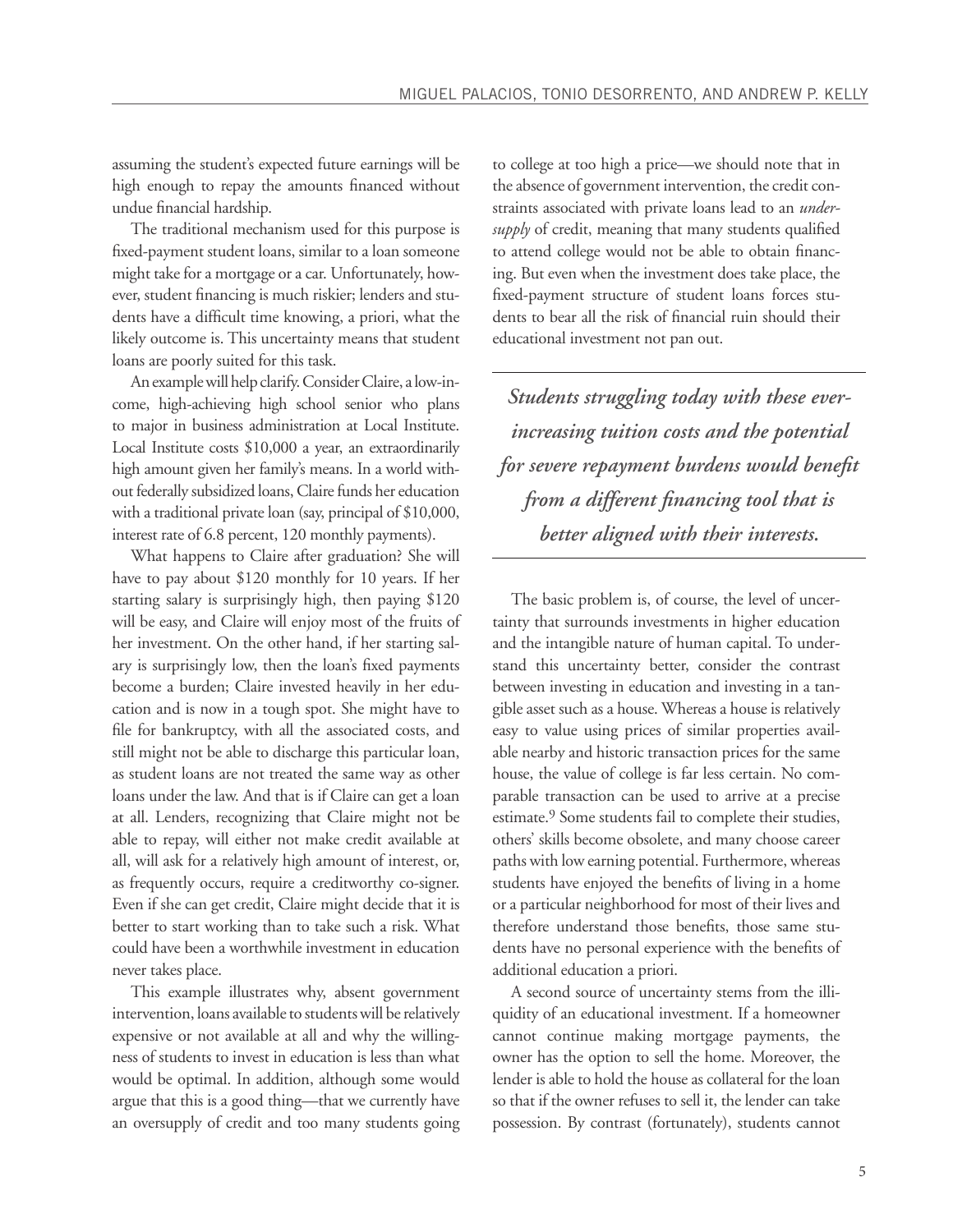assuming the student's expected future earnings will be high enough to repay the amounts financed without undue financial hardship.

The traditional mechanism used for this purpose is fixed-payment student loans, similar to a loan someone might take for a mortgage or a car. Unfortunately, however, student financing is much riskier; lenders and students have a difficult time knowing, a priori, what the likely outcome is. This uncertainty means that student loans are poorly suited for this task.

An example will help clarify. Consider Claire, a low-income, high-achieving high school senior who plans to major in business administration at Local Institute. Local Institute costs \$10,000 a year, an extraordinarily high amount given her family's means. In a world without federally subsidized loans, Claire funds her education with a traditional private loan (say, principal of \$10,000, interest rate of 6.8 percent, 120 monthly payments).

What happens to Claire after graduation? She will have to pay about \$120 monthly for 10 years. If her starting salary is surprisingly high, then paying \$120 will be easy, and Claire will enjoy most of the fruits of her investment. On the other hand, if her starting salary is surprisingly low, then the loan's fixed payments become a burden; Claire invested heavily in her education and is now in a tough spot. She might have to file for bankruptcy, with all the associated costs, and still might not be able to discharge this particular loan, as student loans are not treated the same way as other loans under the law. And that is if Claire can get a loan at all. Lenders, recognizing that Claire might not be able to repay, will either not make credit available at all, will ask for a relatively high amount of interest, or, as frequently occurs, require a creditworthy co-signer. Even if she can get credit, Claire might decide that it is better to start working than to take such a risk. What could have been a worthwhile investment in education never takes place.

This example illustrates why, absent government intervention, loans available to students will be relatively expensive or not available at all and why the willingness of students to invest in education is less than what would be optimal. In addition, although some would argue that this is a good thing—that we currently have an oversupply of credit and too many students going

to college at too high a price—we should note that in the absence of government intervention, the credit constraints associated with private loans lead to an *undersupply* of credit, meaning that many students qualified to attend college would not be able to obtain financing. But even when the investment does take place, the fixed-payment structure of student loans forces students to bear all the risk of financial ruin should their educational investment not pan out.

*Students struggling today with these everincreasing tuition costs and the potential for severe repayment burdens would benefit from a different financing tool that is better aligned with their interests.* 

The basic problem is, of course, the level of uncertainty that surrounds investments in higher education and the intangible nature of human capital. To understand this uncertainty better, consider the contrast between investing in education and investing in a tangible asset such as a house. Whereas a house is relatively easy to value using prices of similar properties available nearby and historic transaction prices for the same house, the value of college is far less certain. No comparable transaction can be used to arrive at a precise estimate.<sup>9</sup> Some students fail to complete their studies, others' skills become obsolete, and many choose career paths with low earning potential. Furthermore, whereas students have enjoyed the benefits of living in a home or a particular neighborhood for most of their lives and therefore understand those benefits, those same students have no personal experience with the benefits of additional education a priori.

A second source of uncertainty stems from the illiquidity of an educational investment. If a homeowner cannot continue making mortgage payments, the owner has the option to sell the home. Moreover, the lender is able to hold the house as collateral for the loan so that if the owner refuses to sell it, the lender can take possession. By contrast (fortunately), students cannot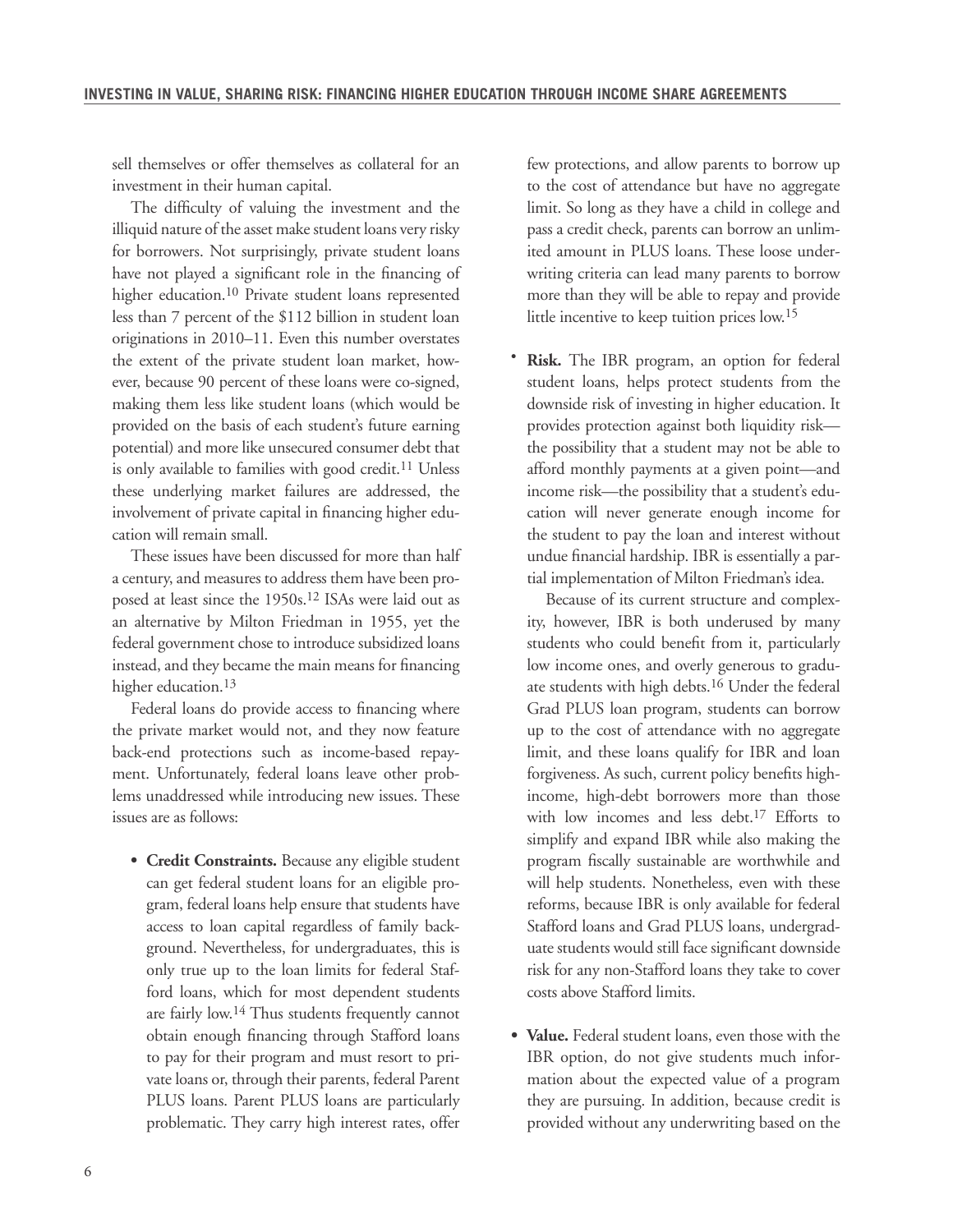sell themselves or offer themselves as collateral for an investment in their human capital.

The difficulty of valuing the investment and the illiquid nature of the asset make student loans very risky for borrowers. Not surprisingly, private student loans have not played a significant role in the financing of higher education.10 Private student loans represented less than 7 percent of the \$112 billion in student loan originations in 2010–11. Even this number overstates the extent of the private student loan market, however, because 90 percent of these loans were co-signed, making them less like student loans (which would be provided on the basis of each student's future earning potential) and more like unsecured consumer debt that is only available to families with good credit.<sup>11</sup> Unless these underlying market failures are addressed, the involvement of private capital in financing higher education will remain small.

These issues have been discussed for more than half a century, and measures to address them have been proposed at least since the 1950s.12 ISAs were laid out as an alternative by Milton Friedman in 1955, yet the federal government chose to introduce subsidized loans instead, and they became the main means for financing higher education.<sup>13</sup>

Federal loans do provide access to financing where the private market would not, and they now feature back-end protections such as income-based repayment. Unfortunately, federal loans leave other problems unaddressed while introducing new issues. These issues are as follows:

**• Credit Constraints.** Because any eligible student can get federal student loans for an eligible program, federal loans help ensure that students have access to loan capital regardless of family background. Nevertheless, for undergraduates, this is only true up to the loan limits for federal Stafford loans, which for most dependent students are fairly low.14 Thus students frequently cannot obtain enough financing through Stafford loans to pay for their program and must resort to private loans or, through their parents, federal Parent PLUS loans. Parent PLUS loans are particularly problematic. They carry high interest rates, offer

few protections, and allow parents to borrow up to the cost of attendance but have no aggregate limit. So long as they have a child in college and pass a credit check, parents can borrow an unlimited amount in PLUS loans. These loose underwriting criteria can lead many parents to borrow more than they will be able to repay and provide little incentive to keep tuition prices low.15

**• Risk.** The IBR program, an option for federal student loans, helps protect students from the downside risk of investing in higher education. It provides protection against both liquidity risk the possibility that a student may not be able to afford monthly payments at a given point—and income risk—the possibility that a student's education will never generate enough income for the student to pay the loan and interest without undue financial hardship. IBR is essentially a partial implementation of Milton Friedman's idea.

Because of its current structure and complexity, however, IBR is both underused by many students who could benefit from it, particularly low income ones, and overly generous to graduate students with high debts.16 Under the federal Grad PLUS loan program, students can borrow up to the cost of attendance with no aggregate limit, and these loans qualify for IBR and loan forgiveness. As such, current policy benefits highincome, high-debt borrowers more than those with low incomes and less debt.<sup>17</sup> Efforts to simplify and expand IBR while also making the program fiscally sustainable are worthwhile and will help students. Nonetheless, even with these reforms, because IBR is only available for federal Stafford loans and Grad PLUS loans, undergraduate students would still face significant downside risk for any non-Stafford loans they take to cover costs above Stafford limits.

**• Value.** Federal student loans, even those with the IBR option, do not give students much information about the expected value of a program they are pursuing. In addition, because credit is provided without any underwriting based on the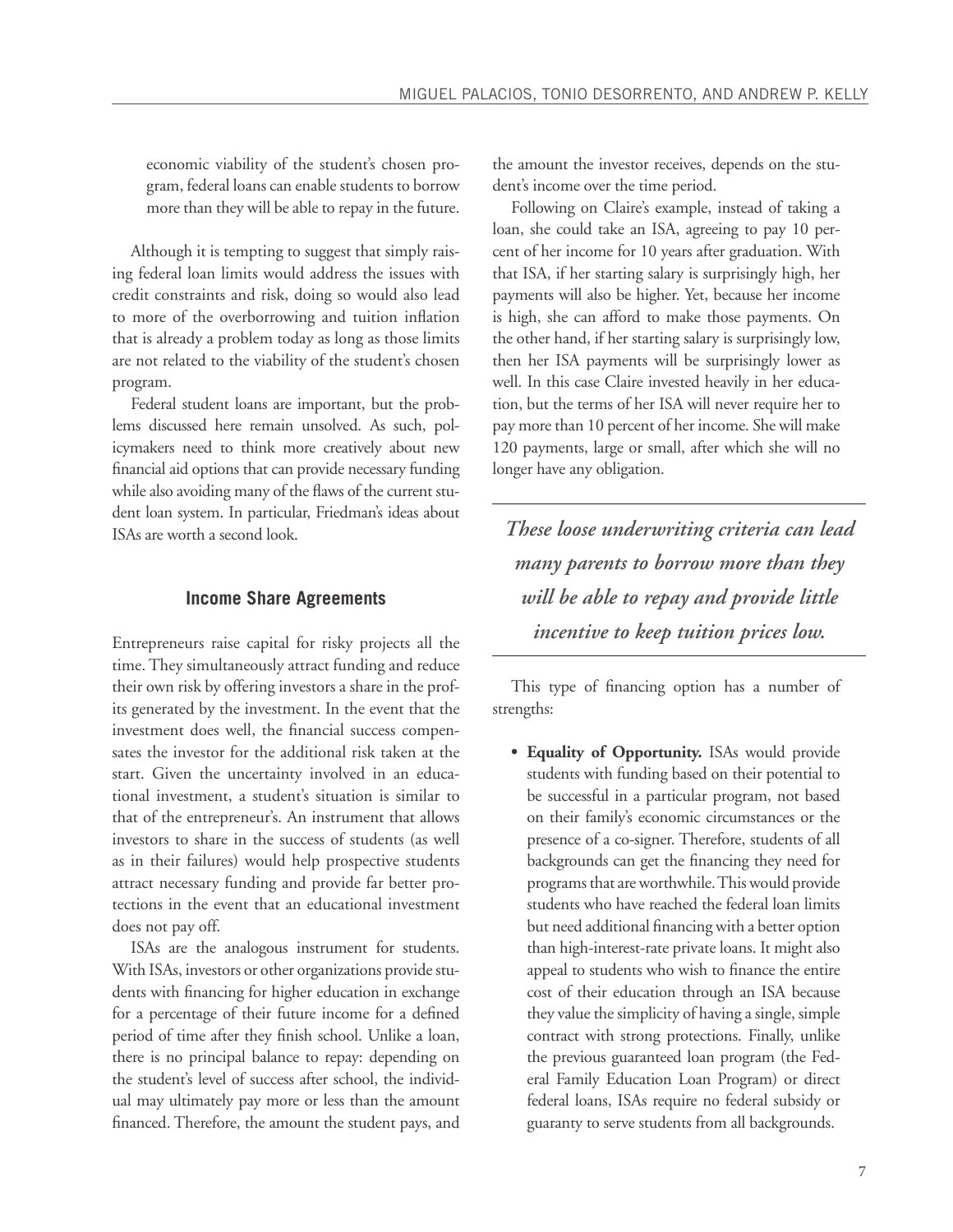economic viability of the student's chosen program, federal loans can enable students to borrow more than they will be able to repay in the future.

Although it is tempting to suggest that simply raising federal loan limits would address the issues with credit constraints and risk, doing so would also lead to more of the overborrowing and tuition inflation that is already a problem today as long as those limits are not related to the viability of the student's chosen program.

Federal student loans are important, but the problems discussed here remain unsolved. As such, policymakers need to think more creatively about new financial aid options that can provide necessary funding while also avoiding many of the flaws of the current student loan system. In particular, Friedman's ideas about ISAs are worth a second look.

#### **Income Share Agreements**

Entrepreneurs raise capital for risky projects all the time. They simultaneously attract funding and reduce their own risk by offering investors a share in the profits generated by the investment. In the event that the investment does well, the financial success compensates the investor for the additional risk taken at the start. Given the uncertainty involved in an educational investment, a student's situation is similar to that of the entrepreneur's. An instrument that allows investors to share in the success of students (as well as in their failures) would help prospective students attract necessary funding and provide far better protections in the event that an educational investment does not pay off.

ISAs are the analogous instrument for students. With ISAs, investors or other organizations provide students with financing for higher education in exchange for a percentage of their future income for a defined period of time after they finish school. Unlike a loan, there is no principal balance to repay: depending on the student's level of success after school, the individual may ultimately pay more or less than the amount financed. Therefore, the amount the student pays, and the amount the investor receives, depends on the student's income over the time period.

Following on Claire's example, instead of taking a loan, she could take an ISA, agreeing to pay 10 percent of her income for 10 years after graduation. With that ISA, if her starting salary is surprisingly high, her payments will also be higher. Yet, because her income is high, she can afford to make those payments. On the other hand, if her starting salary is surprisingly low, then her ISA payments will be surprisingly lower as well. In this case Claire invested heavily in her education, but the terms of her ISA will never require her to pay more than 10 percent of her income. She will make 120 payments, large or small, after which she will no longer have any obligation.

*These loose underwriting criteria can lead many parents to borrow more than they will be able to repay and provide little incentive to keep tuition prices low.*

This type of financing option has a number of strengths:

**• Equality of Opportunity.** ISAs would provide students with funding based on their potential to be successful in a particular program, not based on their family's economic circumstances or the presence of a co-signer. Therefore, students of all backgrounds can get the financing they need for programs that are worthwhile. This would provide students who have reached the federal loan limits but need additional financing with a better option than high-interest-rate private loans. It might also appeal to students who wish to finance the entire cost of their education through an ISA because they value the simplicity of having a single, simple contract with strong protections. Finally, unlike the previous guaranteed loan program (the Federal Family Education Loan Program) or direct federal loans, ISAs require no federal subsidy or guaranty to serve students from all backgrounds.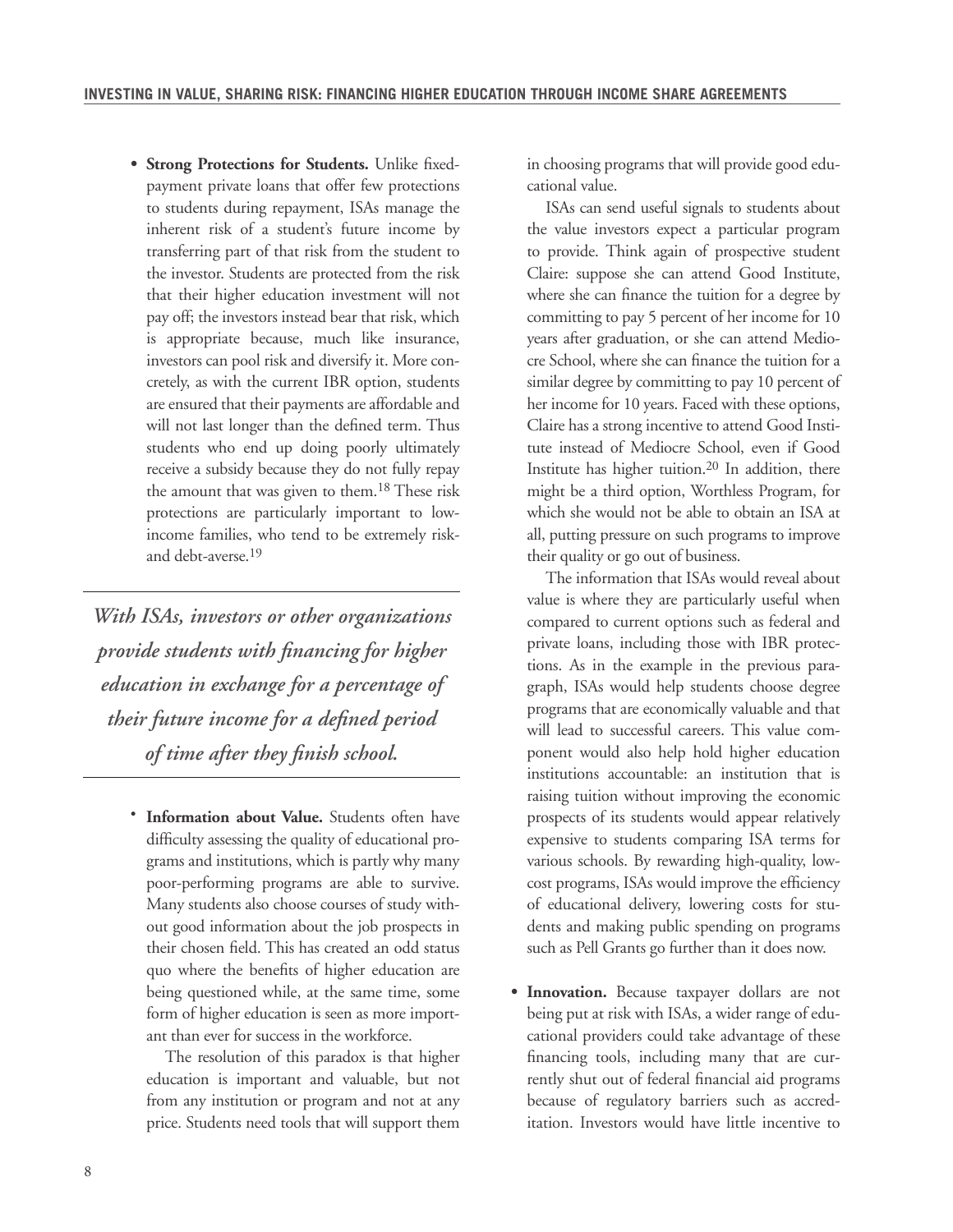**• Strong Protections for Students.** Unlike fixedpayment private loans that offer few protections to students during repayment, ISAs manage the inherent risk of a student's future income by transferring part of that risk from the student to the investor. Students are protected from the risk that their higher education investment will not pay off; the investors instead bear that risk, which is appropriate because, much like insurance, investors can pool risk and diversify it. More concretely, as with the current IBR option, students are ensured that their payments are affordable and will not last longer than the defined term. Thus students who end up doing poorly ultimately receive a subsidy because they do not fully repay the amount that was given to them.18 These risk protections are particularly important to lowincome families, who tend to be extremely riskand debt-averse.19

*With ISAs, investors or other organizations provide students with financing for higher education in exchange for a percentage of their future income for a defined period of time after they finish school.* 

**• Information about Value.** Students often have difficulty assessing the quality of educational programs and institutions, which is partly why many poor-performing programs are able to survive. Many students also choose courses of study without good information about the job prospects in their chosen field. This has created an odd status quo where the benefits of higher education are being questioned while, at the same time, some form of higher education is seen as more important than ever for success in the workforce.

The resolution of this paradox is that higher education is important and valuable, but not from any institution or program and not at any price. Students need tools that will support them

in choosing programs that will provide good educational value.

ISAs can send useful signals to students about the value investors expect a particular program to provide. Think again of prospective student Claire: suppose she can attend Good Institute, where she can finance the tuition for a degree by committing to pay 5 percent of her income for 10 years after graduation, or she can attend Mediocre School, where she can finance the tuition for a similar degree by committing to pay 10 percent of her income for 10 years. Faced with these options, Claire has a strong incentive to attend Good Institute instead of Mediocre School, even if Good Institute has higher tuition.20 In addition, there might be a third option, Worthless Program, for which she would not be able to obtain an ISA at all, putting pressure on such programs to improve their quality or go out of business.

The information that ISAs would reveal about value is where they are particularly useful when compared to current options such as federal and private loans, including those with IBR protections. As in the example in the previous paragraph, ISAs would help students choose degree programs that are economically valuable and that will lead to successful careers. This value component would also help hold higher education institutions accountable: an institution that is raising tuition without improving the economic prospects of its students would appear relatively expensive to students comparing ISA terms for various schools. By rewarding high-quality, lowcost programs, ISAs would improve the efficiency of educational delivery, lowering costs for students and making public spending on programs such as Pell Grants go further than it does now.

**• Innovation.** Because taxpayer dollars are not being put at risk with ISAs, a wider range of educational providers could take advantage of these financing tools, including many that are currently shut out of federal financial aid programs because of regulatory barriers such as accreditation. Investors would have little incentive to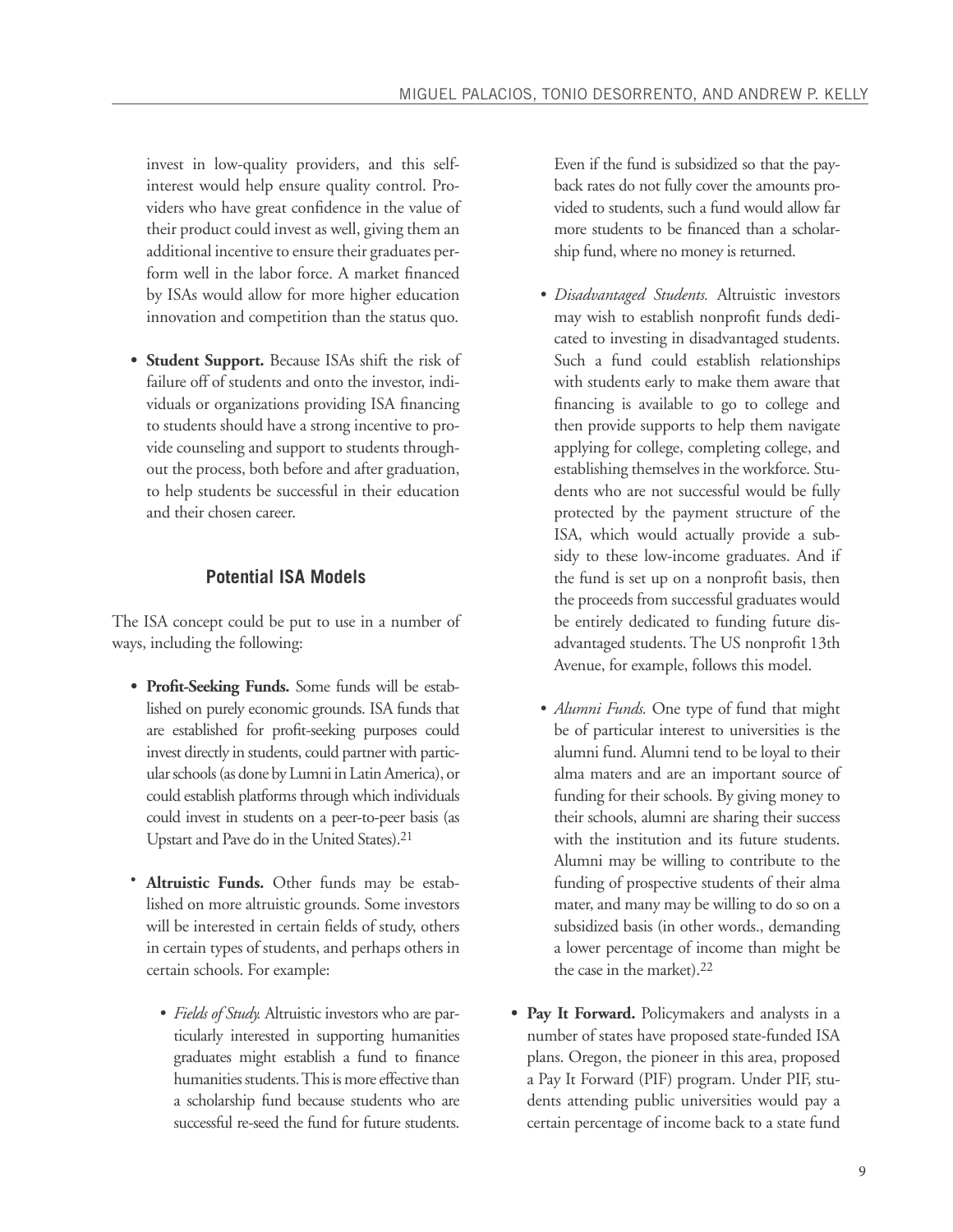invest in low-quality providers, and this selfinterest would help ensure quality control. Providers who have great confidence in the value of their product could invest as well, giving them an additional incentive to ensure their graduates perform well in the labor force. A market financed by ISAs would allow for more higher education innovation and competition than the status quo.

**• Student Support.** Because ISAs shift the risk of failure off of students and onto the investor, individuals or organizations providing ISA financing to students should have a strong incentive to provide counseling and support to students throughout the process, both before and after graduation, to help students be successful in their education and their chosen career.

#### **Potential ISA Models**

The ISA concept could be put to use in a number of ways, including the following:

- **• Profit-Seeking Funds.** Some funds will be established on purely economic grounds. ISA funds that are established for profit-seeking purposes could invest directly in students, could partner with particular schools (as done by Lumni in Latin America), or could establish platforms through which individuals could invest in students on a peer-to-peer basis (as Upstart and Pave do in the United States).21
- **• Altruistic Funds.** Other funds may be established on more altruistic grounds. Some investors will be interested in certain fields of study, others in certain types of students, and perhaps others in certain schools. For example:
	- *• Fields of Study.* Altruistic investors who are particularly interested in supporting humanities graduates might establish a fund to finance humanities students. This is more effective than a scholarship fund because students who are successful re-seed the fund for future students.

Even if the fund is subsidized so that the payback rates do not fully cover the amounts provided to students, such a fund would allow far more students to be financed than a scholarship fund, where no money is returned.

- *• Disadvantaged Students.* Altruistic investors may wish to establish nonprofit funds dedicated to investing in disadvantaged students. Such a fund could establish relationships with students early to make them aware that financing is available to go to college and then provide supports to help them navigate applying for college, completing college, and establishing themselves in the workforce. Students who are not successful would be fully protected by the payment structure of the ISA, which would actually provide a subsidy to these low-income graduates. And if the fund is set up on a nonprofit basis, then the proceeds from successful graduates would be entirely dedicated to funding future disadvantaged students. The US nonprofit 13th Avenue, for example, follows this model.
- *• Alumni Funds.* One type of fund that might be of particular interest to universities is the alumni fund. Alumni tend to be loyal to their alma maters and are an important source of funding for their schools. By giving money to their schools, alumni are sharing their success with the institution and its future students. Alumni may be willing to contribute to the funding of prospective students of their alma mater, and many may be willing to do so on a subsidized basis (in other words., demanding a lower percentage of income than might be the case in the market).22
- **• Pay It Forward.** Policymakers and analysts in a number of states have proposed state-funded ISA plans. Oregon, the pioneer in this area, proposed a Pay It Forward (PIF) program. Under PIF, students attending public universities would pay a certain percentage of income back to a state fund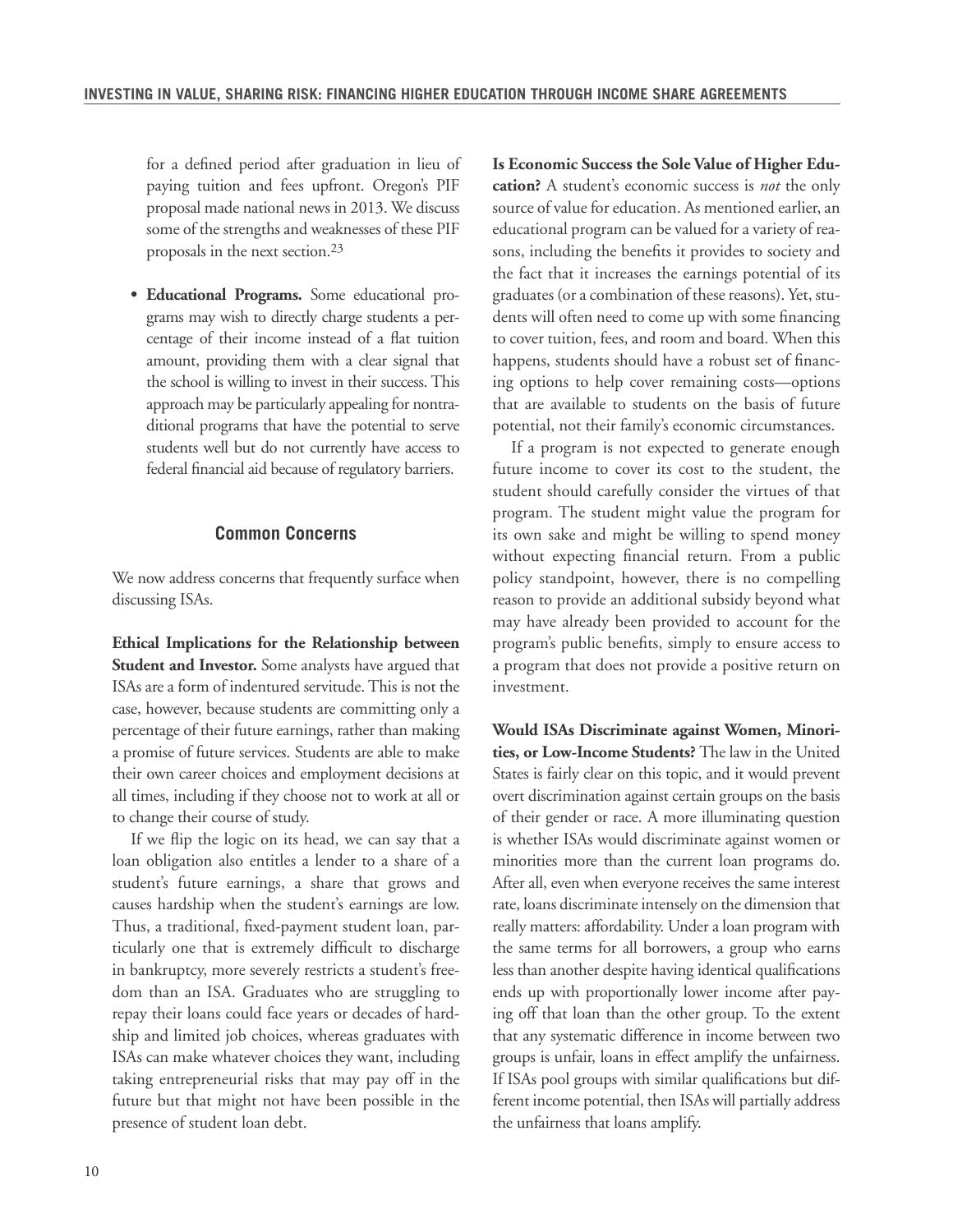for a defined period after graduation in lieu of paying tuition and fees upfront. Oregon's PIF proposal made national news in 2013. We discuss some of the strengths and weaknesses of these PIF proposals in the next section.23

**• Educational Programs.** Some educational programs may wish to directly charge students a percentage of their income instead of a flat tuition amount, providing them with a clear signal that the school is willing to invest in their success. This approach may be particularly appealing for nontraditional programs that have the potential to serve students well but do not currently have access to federal financial aid because of regulatory barriers.

#### **Common Concerns**

We now address concerns that frequently surface when discussing ISAs.

**Ethical Implications for the Relationship between Student and Investor.** Some analysts have argued that ISAs are a form of indentured servitude. This is not the case, however, because students are committing only a percentage of their future earnings, rather than making a promise of future services. Students are able to make their own career choices and employment decisions at all times, including if they choose not to work at all or to change their course of study.

If we flip the logic on its head, we can say that a loan obligation also entitles a lender to a share of a student's future earnings, a share that grows and causes hardship when the student's earnings are low. Thus, a traditional, fixed-payment student loan, particularly one that is extremely difficult to discharge in bankruptcy, more severely restricts a student's freedom than an ISA. Graduates who are struggling to repay their loans could face years or decades of hardship and limited job choices, whereas graduates with ISAs can make whatever choices they want, including taking entrepreneurial risks that may pay off in the future but that might not have been possible in the presence of student loan debt.

**Is Economic Success the Sole Value of Higher Education?** A student's economic success is *not* the only source of value for education. As mentioned earlier, an educational program can be valued for a variety of reasons, including the benefits it provides to society and the fact that it increases the earnings potential of its graduates (or a combination of these reasons). Yet, students will often need to come up with some financing to cover tuition, fees, and room and board. When this happens, students should have a robust set of financing options to help cover remaining costs—options that are available to students on the basis of future potential, not their family's economic circumstances.

If a program is not expected to generate enough future income to cover its cost to the student, the student should carefully consider the virtues of that program. The student might value the program for its own sake and might be willing to spend money without expecting financial return. From a public policy standpoint, however, there is no compelling reason to provide an additional subsidy beyond what may have already been provided to account for the program's public benefits, simply to ensure access to a program that does not provide a positive return on investment.

**Would ISAs Discriminate against Women, Minorities, or Low-Income Students?** The law in the United States is fairly clear on this topic, and it would prevent overt discrimination against certain groups on the basis of their gender or race. A more illuminating question is whether ISAs would discriminate against women or minorities more than the current loan programs do. After all, even when everyone receives the same interest rate, loans discriminate intensely on the dimension that really matters: affordability. Under a loan program with the same terms for all borrowers, a group who earns less than another despite having identical qualifications ends up with proportionally lower income after paying off that loan than the other group. To the extent that any systematic difference in income between two groups is unfair, loans in effect amplify the unfairness. If ISAs pool groups with similar qualifications but different income potential, then ISAs will partially address the unfairness that loans amplify.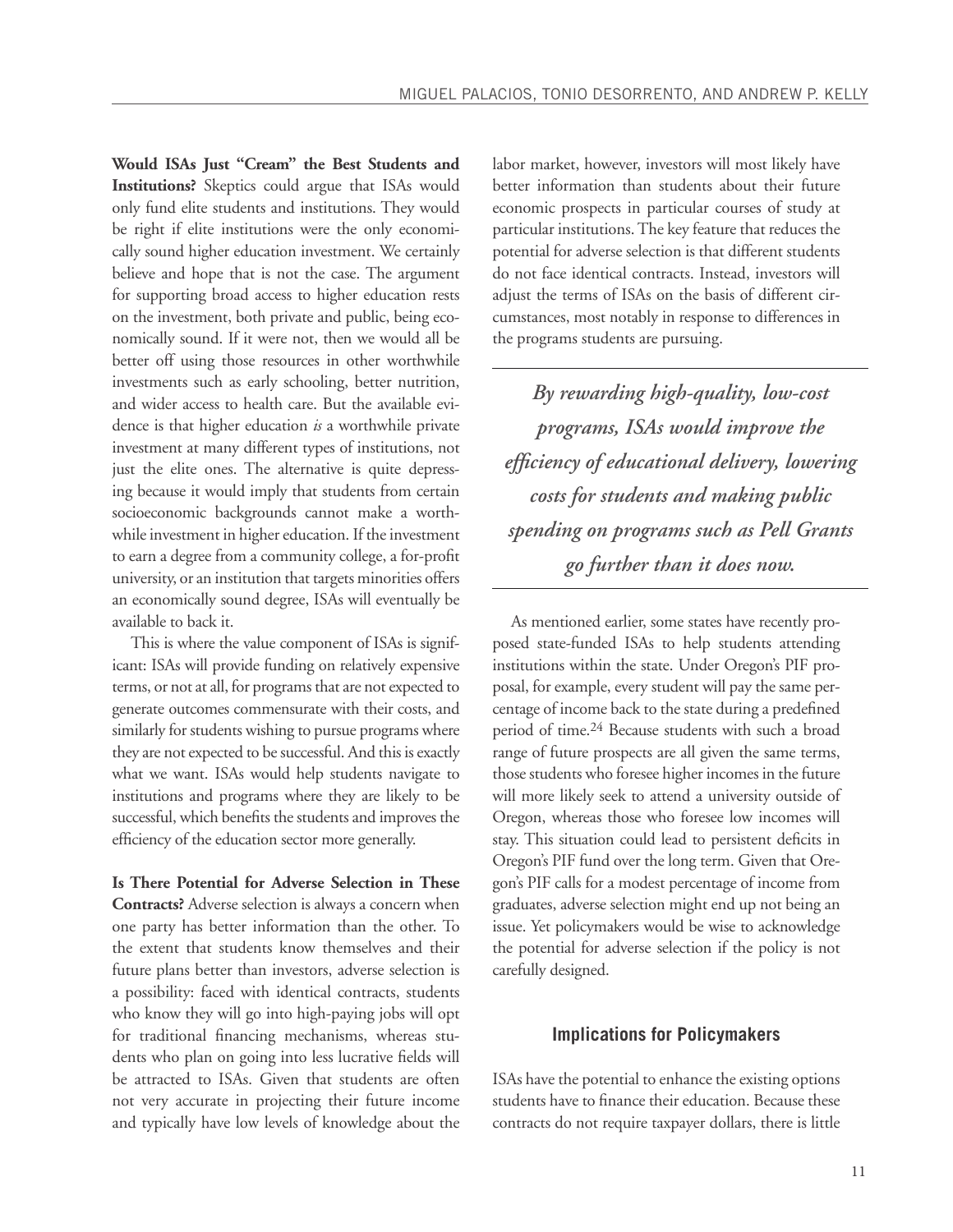**Would ISAs Just "Cream" the Best Students and Institutions?** Skeptics could argue that ISAs would only fund elite students and institutions. They would be right if elite institutions were the only economically sound higher education investment. We certainly believe and hope that is not the case. The argument for supporting broad access to higher education rests on the investment, both private and public, being economically sound. If it were not, then we would all be better off using those resources in other worthwhile investments such as early schooling, better nutrition, and wider access to health care. But the available evidence is that higher education *is* a worthwhile private investment at many different types of institutions, not just the elite ones. The alternative is quite depressing because it would imply that students from certain socioeconomic backgrounds cannot make a worthwhile investment in higher education. If the investment to earn a degree from a community college, a for-profit university, or an institution that targets minorities offers an economically sound degree, ISAs will eventually be available to back it.

This is where the value component of ISAs is significant: ISAs will provide funding on relatively expensive terms, or not at all, for programs that are not expected to generate outcomes commensurate with their costs, and similarly for students wishing to pursue programs where they are not expected to be successful. And this is exactly what we want. ISAs would help students navigate to institutions and programs where they are likely to be successful, which benefits the students and improves the efficiency of the education sector more generally.

**Is There Potential for Adverse Selection in These Contracts?** Adverse selection is always a concern when one party has better information than the other. To the extent that students know themselves and their future plans better than investors, adverse selection is a possibility: faced with identical contracts, students who know they will go into high-paying jobs will opt for traditional financing mechanisms, whereas students who plan on going into less lucrative fields will be attracted to ISAs. Given that students are often not very accurate in projecting their future income and typically have low levels of knowledge about the labor market, however, investors will most likely have better information than students about their future economic prospects in particular courses of study at particular institutions. The key feature that reduces the potential for adverse selection is that different students do not face identical contracts. Instead, investors will adjust the terms of ISAs on the basis of different circumstances, most notably in response to differences in the programs students are pursuing.

*By rewarding high-quality, low-cost programs, ISAs would improve the efficiency of educational delivery, lowering costs for students and making public spending on programs such as Pell Grants go further than it does now.*

As mentioned earlier, some states have recently proposed state-funded ISAs to help students attending institutions within the state. Under Oregon's PIF proposal, for example, every student will pay the same percentage of income back to the state during a predefined period of time.24 Because students with such a broad range of future prospects are all given the same terms, those students who foresee higher incomes in the future will more likely seek to attend a university outside of Oregon, whereas those who foresee low incomes will stay. This situation could lead to persistent deficits in Oregon's PIF fund over the long term. Given that Oregon's PIF calls for a modest percentage of income from graduates, adverse selection might end up not being an issue. Yet policymakers would be wise to acknowledge the potential for adverse selection if the policy is not carefully designed.

#### **Implications for Policymakers**

ISAs have the potential to enhance the existing options students have to finance their education. Because these contracts do not require taxpayer dollars, there is little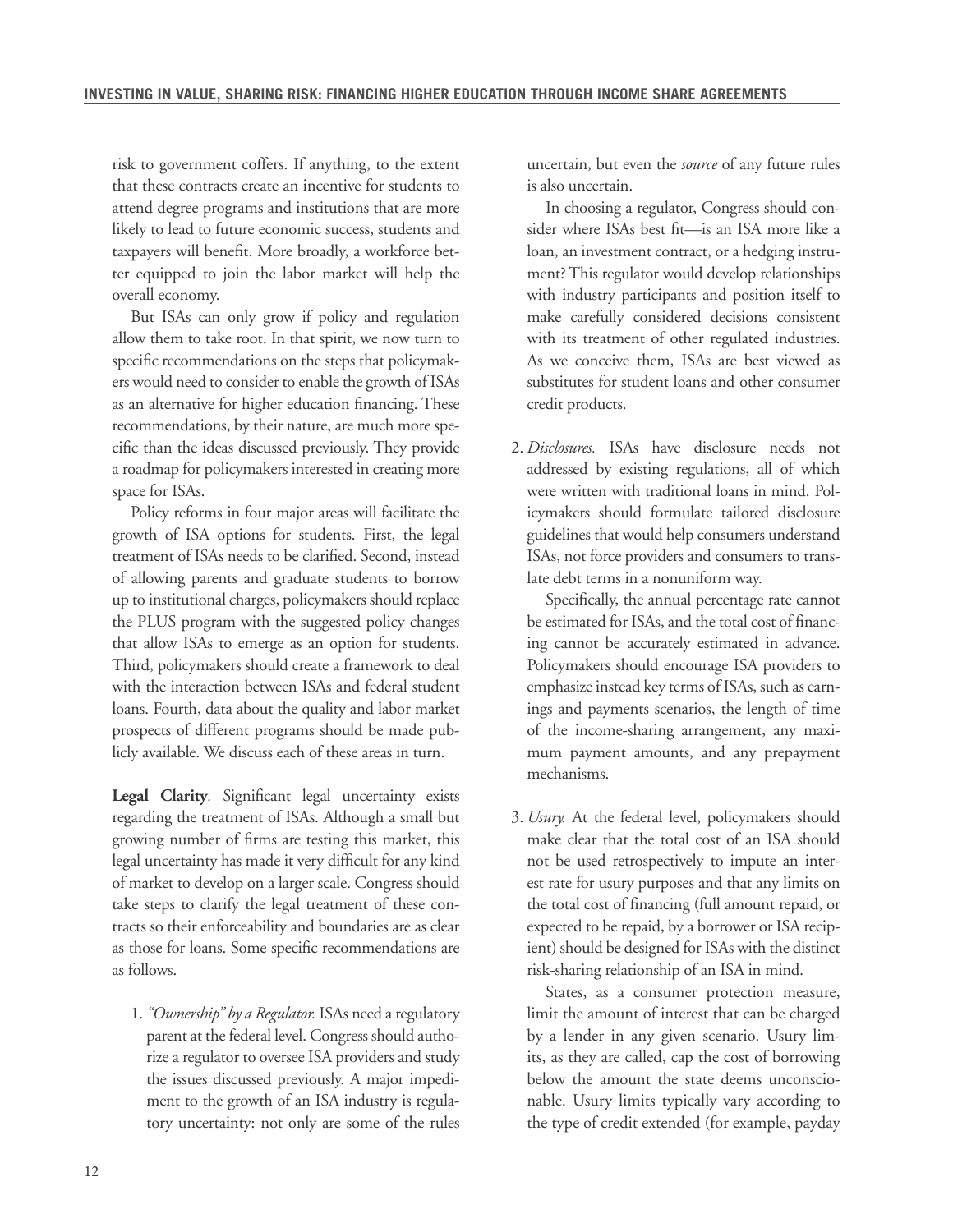risk to government coffers. If anything, to the extent that these contracts create an incentive for students to attend degree programs and institutions that are more likely to lead to future economic success, students and taxpayers will benefit. More broadly, a workforce better equipped to join the labor market will help the overall economy.

But ISAs can only grow if policy and regulation allow them to take root. In that spirit, we now turn to specific recommendations on the steps that policymakers would need to consider to enable the growth of ISAs as an alternative for higher education financing. These recommendations, by their nature, are much more specific than the ideas discussed previously. They provide a roadmap for policymakers interested in creating more space for ISAs.

Policy reforms in four major areas will facilitate the growth of ISA options for students. First, the legal treatment of ISAs needs to be clarified. Second, instead of allowing parents and graduate students to borrow up to institutional charges, policymakers should replace the PLUS program with the suggested policy changes that allow ISAs to emerge as an option for students. Third, policymakers should create a framework to deal with the interaction between ISAs and federal student loans. Fourth, data about the quality and labor market prospects of different programs should be made publicly available. We discuss each of these areas in turn.

**Legal Clarity***.* Significant legal uncertainty exists regarding the treatment of ISAs. Although a small but growing number of firms are testing this market, this legal uncertainty has made it very difficult for any kind of market to develop on a larger scale. Congress should take steps to clarify the legal treatment of these contracts so their enforceability and boundaries are as clear as those for loans. Some specific recommendations are as follows.

1.*"Ownership" by a Regulator.* ISAs need a regulatory parent at the federal level. Congress should authorize a regulator to oversee ISA providers and study the issues discussed previously. A major impediment to the growth of an ISA industry is regulatory uncertainty: not only are some of the rules uncertain, but even the *source* of any future rules is also uncertain.

In choosing a regulator, Congress should consider where ISAs best fit—is an ISA more like a loan, an investment contract, or a hedging instrument? This regulator would develop relationships with industry participants and position itself to make carefully considered decisions consistent with its treatment of other regulated industries. As we conceive them, ISAs are best viewed as substitutes for student loans and other consumer credit products.

2. *Disclosures.* ISAs have disclosure needs not addressed by existing regulations, all of which were written with traditional loans in mind. Policymakers should formulate tailored disclosure guidelines that would help consumers understand ISAs, not force providers and consumers to translate debt terms in a nonuniform way.

Specifically, the annual percentage rate cannot be estimated for ISAs, and the total cost of financing cannot be accurately estimated in advance. Policymakers should encourage ISA providers to emphasize instead key terms of ISAs, such as earnings and payments scenarios, the length of time of the income-sharing arrangement, any maximum payment amounts, and any prepayment mechanisms.

3. *Usury.* At the federal level, policymakers should make clear that the total cost of an ISA should not be used retrospectively to impute an interest rate for usury purposes and that any limits on the total cost of financing (full amount repaid, or expected to be repaid, by a borrower or ISA recipient) should be designed for ISAs with the distinct risk-sharing relationship of an ISA in mind.

States, as a consumer protection measure, limit the amount of interest that can be charged by a lender in any given scenario. Usury limits, as they are called, cap the cost of borrowing below the amount the state deems unconscionable. Usury limits typically vary according to the type of credit extended (for example, payday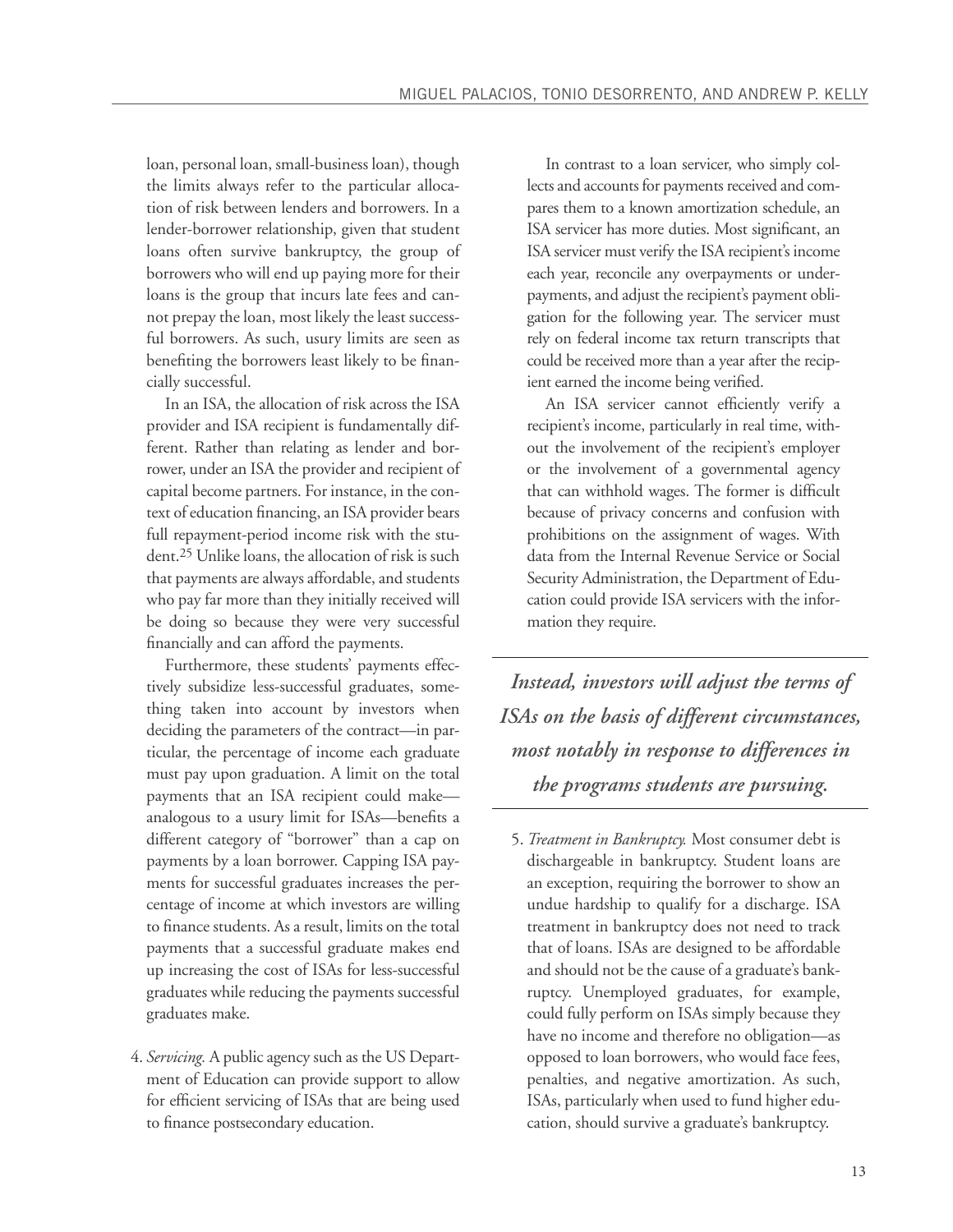loan, personal loan, small-business loan), though the limits always refer to the particular allocation of risk between lenders and borrowers. In a lender-borrower relationship, given that student loans often survive bankruptcy, the group of borrowers who will end up paying more for their loans is the group that incurs late fees and cannot prepay the loan, most likely the least successful borrowers. As such, usury limits are seen as benefiting the borrowers least likely to be financially successful.

In an ISA, the allocation of risk across the ISA provider and ISA recipient is fundamentally different. Rather than relating as lender and borrower, under an ISA the provider and recipient of capital become partners. For instance, in the context of education financing, an ISA provider bears full repayment-period income risk with the student.25 Unlike loans, the allocation of risk is such that payments are always affordable, and students who pay far more than they initially received will be doing so because they were very successful financially and can afford the payments.

Furthermore, these students' payments effectively subsidize less-successful graduates, something taken into account by investors when deciding the parameters of the contract—in particular, the percentage of income each graduate must pay upon graduation. A limit on the total payments that an ISA recipient could make analogous to a usury limit for ISAs—benefits a different category of "borrower" than a cap on payments by a loan borrower. Capping ISA payments for successful graduates increases the percentage of income at which investors are willing to finance students. As a result, limits on the total payments that a successful graduate makes end up increasing the cost of ISAs for less-successful graduates while reducing the payments successful graduates make.

4. *Servicing.* A public agency such as the US Department of Education can provide support to allow for efficient servicing of ISAs that are being used to finance postsecondary education.

In contrast to a loan servicer, who simply collects and accounts for payments received and compares them to a known amortization schedule, an ISA servicer has more duties. Most significant, an ISA servicer must verify the ISA recipient's income each year, reconcile any overpayments or underpayments, and adjust the recipient's payment obligation for the following year. The servicer must rely on federal income tax return transcripts that could be received more than a year after the recipient earned the income being verified.

An ISA servicer cannot efficiently verify a recipient's income, particularly in real time, without the involvement of the recipient's employer or the involvement of a governmental agency that can withhold wages. The former is difficult because of privacy concerns and confusion with prohibitions on the assignment of wages. With data from the Internal Revenue Service or Social Security Administration, the Department of Education could provide ISA servicers with the information they require.

*Instead, investors will adjust the terms of ISAs on the basis of different circumstances, most notably in response to differences in the programs students are pursuing.* 

5. *Treatment in Bankruptcy.* Most consumer debt is dischargeable in bankruptcy. Student loans are an exception, requiring the borrower to show an undue hardship to qualify for a discharge. ISA treatment in bankruptcy does not need to track that of loans. ISAs are designed to be affordable and should not be the cause of a graduate's bankruptcy. Unemployed graduates, for example, could fully perform on ISAs simply because they have no income and therefore no obligation—as opposed to loan borrowers, who would face fees, penalties, and negative amortization. As such, ISAs, particularly when used to fund higher education, should survive a graduate's bankruptcy.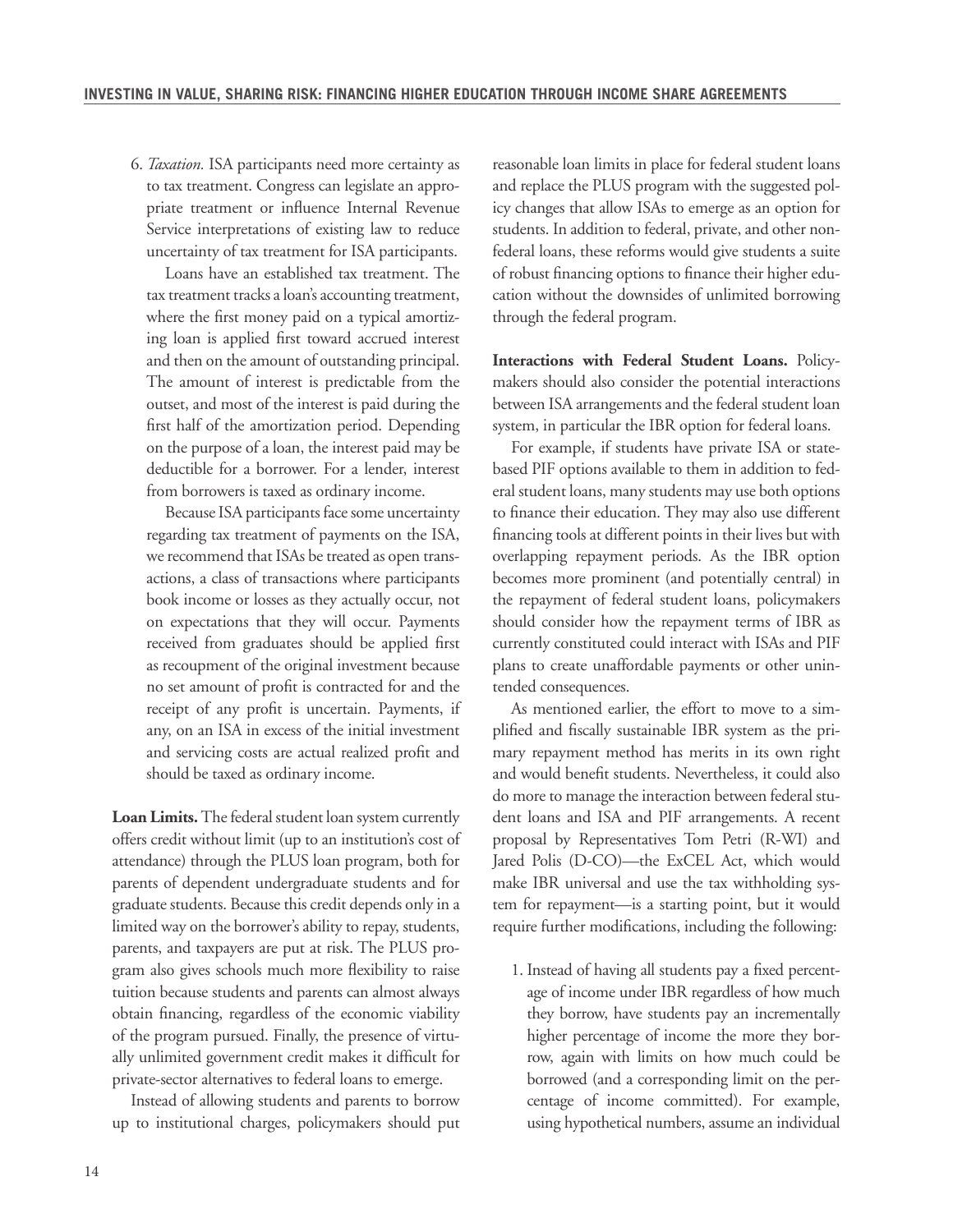6. *Taxation.* ISA participants need more certainty as to tax treatment. Congress can legislate an appropriate treatment or influence Internal Revenue Service interpretations of existing law to reduce uncertainty of tax treatment for ISA participants.

Loans have an established tax treatment. The tax treatment tracks a loan's accounting treatment, where the first money paid on a typical amortizing loan is applied first toward accrued interest and then on the amount of outstanding principal. The amount of interest is predictable from the outset, and most of the interest is paid during the first half of the amortization period. Depending on the purpose of a loan, the interest paid may be deductible for a borrower. For a lender, interest from borrowers is taxed as ordinary income.

Because ISA participants face some uncertainty regarding tax treatment of payments on the ISA, we recommend that ISAs be treated as open transactions, a class of transactions where participants book income or losses as they actually occur, not on expectations that they will occur. Payments received from graduates should be applied first as recoupment of the original investment because no set amount of profit is contracted for and the receipt of any profit is uncertain. Payments, if any, on an ISA in excess of the initial investment and servicing costs are actual realized profit and should be taxed as ordinary income.

**Loan Limits.** The federal student loan system currently offers credit without limit (up to an institution's cost of attendance) through the PLUS loan program, both for parents of dependent undergraduate students and for graduate students. Because this credit depends only in a limited way on the borrower's ability to repay, students, parents, and taxpayers are put at risk. The PLUS program also gives schools much more flexibility to raise tuition because students and parents can almost always obtain financing, regardless of the economic viability of the program pursued. Finally, the presence of virtually unlimited government credit makes it difficult for private-sector alternatives to federal loans to emerge.

Instead of allowing students and parents to borrow up to institutional charges, policymakers should put reasonable loan limits in place for federal student loans and replace the PLUS program with the suggested policy changes that allow ISAs to emerge as an option for students. In addition to federal, private, and other nonfederal loans, these reforms would give students a suite of robust financing options to finance their higher education without the downsides of unlimited borrowing through the federal program.

**Interactions with Federal Student Loans.** Policymakers should also consider the potential interactions between ISA arrangements and the federal student loan system, in particular the IBR option for federal loans.

For example, if students have private ISA or statebased PIF options available to them in addition to federal student loans, many students may use both options to finance their education. They may also use different financing tools at different points in their lives but with overlapping repayment periods. As the IBR option becomes more prominent (and potentially central) in the repayment of federal student loans, policymakers should consider how the repayment terms of IBR as currently constituted could interact with ISAs and PIF plans to create unaffordable payments or other unintended consequences.

As mentioned earlier, the effort to move to a simplified and fiscally sustainable IBR system as the primary repayment method has merits in its own right and would benefit students. Nevertheless, it could also do more to manage the interaction between federal student loans and ISA and PIF arrangements. A recent proposal by Representatives Tom Petri (R-WI) and Jared Polis (D-CO)—the ExCEL Act, which would make IBR universal and use the tax withholding system for repayment—is a starting point, but it would require further modifications, including the following:

1. Instead of having all students pay a fixed percentage of income under IBR regardless of how much they borrow, have students pay an incrementally higher percentage of income the more they borrow, again with limits on how much could be borrowed (and a corresponding limit on the percentage of income committed). For example, using hypothetical numbers, assume an individual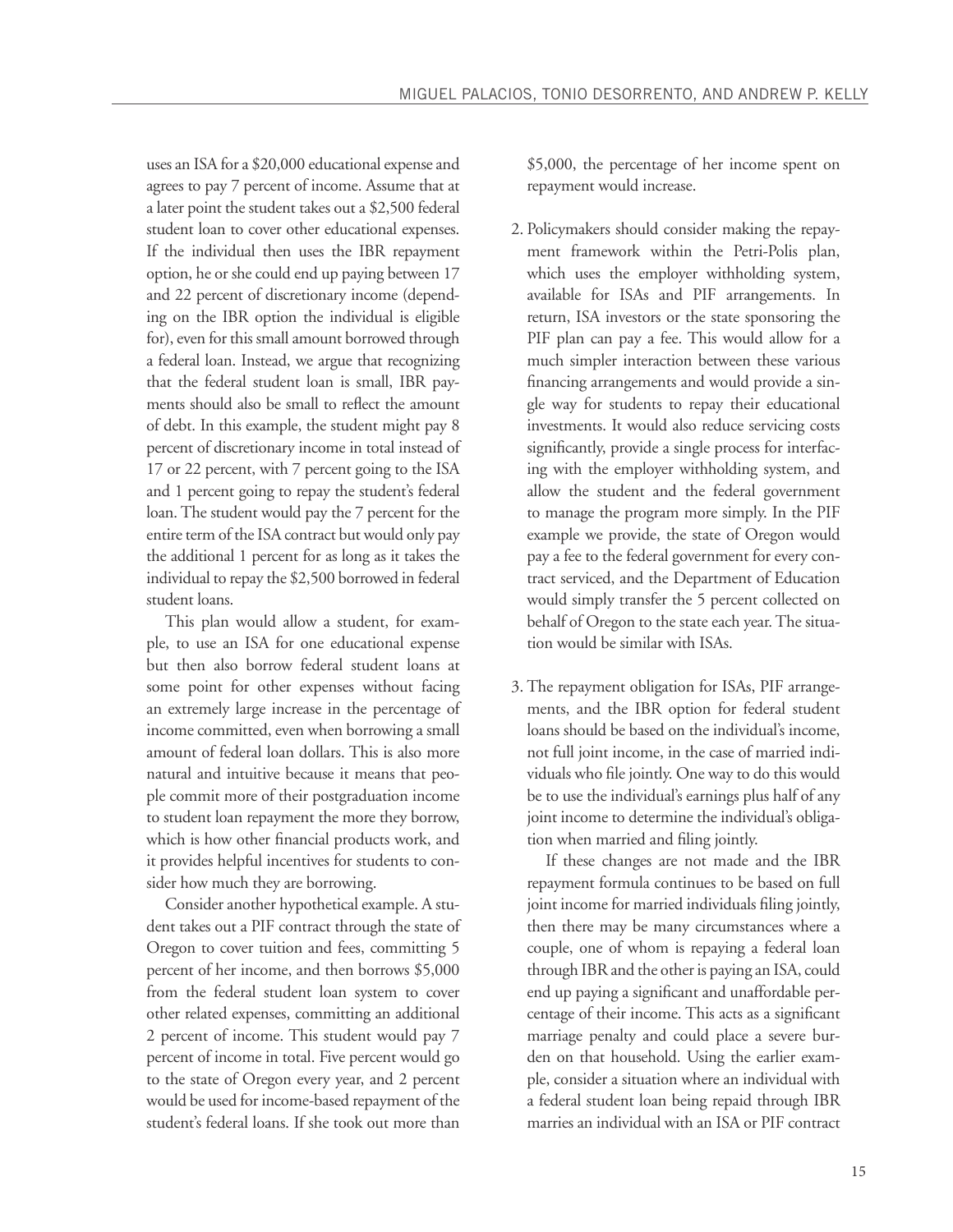uses an ISA for a \$20,000 educational expense and agrees to pay 7 percent of income. Assume that at a later point the student takes out a \$2,500 federal student loan to cover other educational expenses. If the individual then uses the IBR repayment option, he or she could end up paying between 17 and 22 percent of discretionary income (depending on the IBR option the individual is eligible for), even for this small amount borrowed through a federal loan. Instead, we argue that recognizing that the federal student loan is small, IBR payments should also be small to reflect the amount of debt. In this example, the student might pay 8 percent of discretionary income in total instead of 17 or 22 percent, with 7 percent going to the ISA and 1 percent going to repay the student's federal loan. The student would pay the 7 percent for the entire term of the ISA contract but would only pay the additional 1 percent for as long as it takes the individual to repay the \$2,500 borrowed in federal student loans.

This plan would allow a student, for example, to use an ISA for one educational expense but then also borrow federal student loans at some point for other expenses without facing an extremely large increase in the percentage of income committed, even when borrowing a small amount of federal loan dollars. This is also more natural and intuitive because it means that people commit more of their postgraduation income to student loan repayment the more they borrow, which is how other financial products work, and it provides helpful incentives for students to consider how much they are borrowing.

Consider another hypothetical example. A student takes out a PIF contract through the state of Oregon to cover tuition and fees, committing 5 percent of her income, and then borrows \$5,000 from the federal student loan system to cover other related expenses, committing an additional 2 percent of income. This student would pay 7 percent of income in total. Five percent would go to the state of Oregon every year, and 2 percent would be used for income-based repayment of the student's federal loans. If she took out more than

\$5,000, the percentage of her income spent on repayment would increase.

- 2. Policymakers should consider making the repayment framework within the Petri-Polis plan, which uses the employer withholding system, available for ISAs and PIF arrangements. In return, ISA investors or the state sponsoring the PIF plan can pay a fee. This would allow for a much simpler interaction between these various financing arrangements and would provide a single way for students to repay their educational investments. It would also reduce servicing costs significantly, provide a single process for interfacing with the employer withholding system, and allow the student and the federal government to manage the program more simply. In the PIF example we provide, the state of Oregon would pay a fee to the federal government for every contract serviced, and the Department of Education would simply transfer the 5 percent collected on behalf of Oregon to the state each year. The situation would be similar with ISAs.
- 3. The repayment obligation for ISAs, PIF arrangements, and the IBR option for federal student loans should be based on the individual's income, not full joint income, in the case of married individuals who file jointly. One way to do this would be to use the individual's earnings plus half of any joint income to determine the individual's obligation when married and filing jointly.

If these changes are not made and the IBR repayment formula continues to be based on full joint income for married individuals filing jointly, then there may be many circumstances where a couple, one of whom is repaying a federal loan through IBR and the other is paying an ISA, could end up paying a significant and unaffordable percentage of their income. This acts as a significant marriage penalty and could place a severe burden on that household. Using the earlier example, consider a situation where an individual with a federal student loan being repaid through IBR marries an individual with an ISA or PIF contract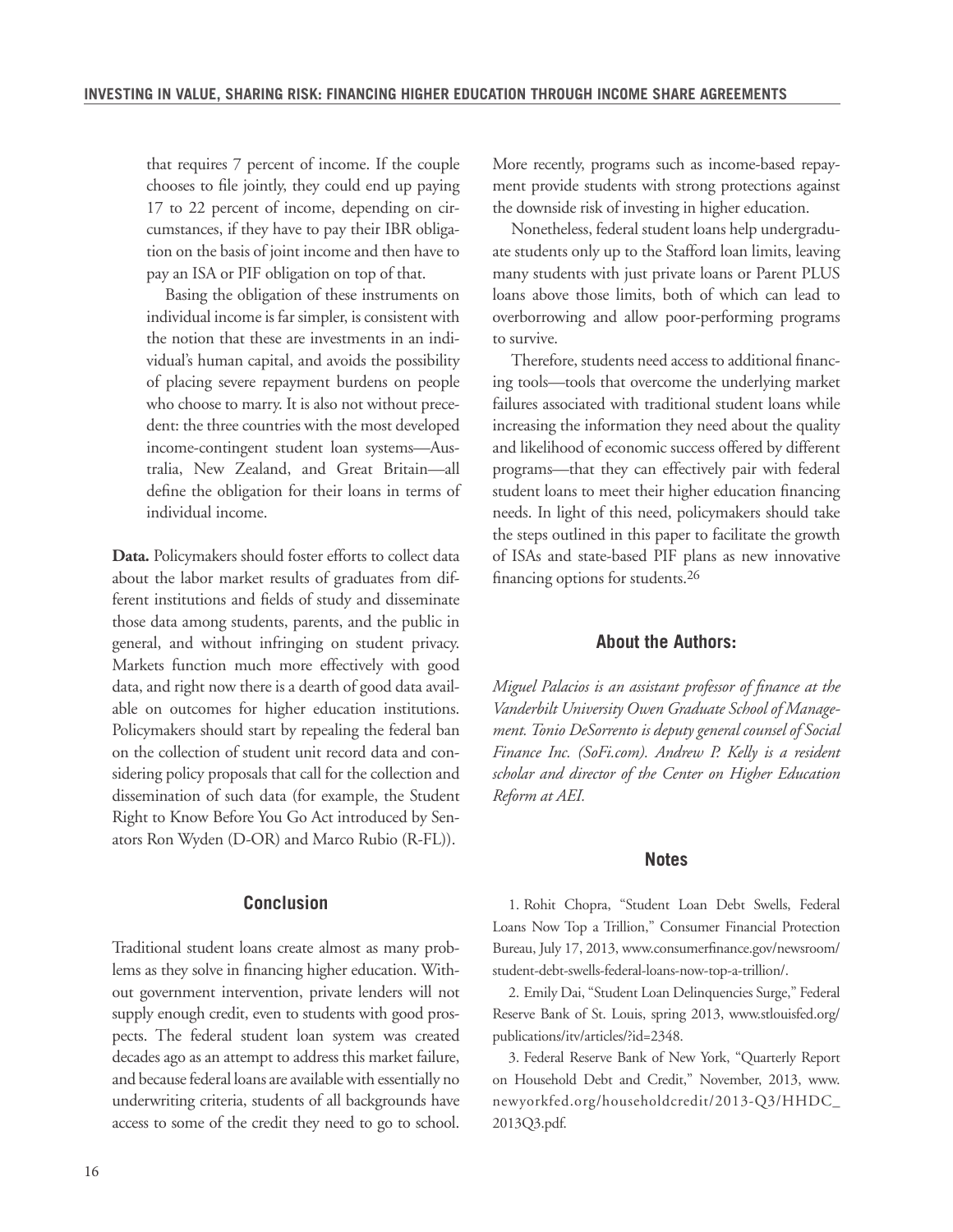that requires 7 percent of income. If the couple chooses to file jointly, they could end up paying 17 to 22 percent of income, depending on circumstances, if they have to pay their IBR obligation on the basis of joint income and then have to pay an ISA or PIF obligation on top of that.

Basing the obligation of these instruments on individual income is far simpler, is consistent with the notion that these are investments in an individual's human capital, and avoids the possibility of placing severe repayment burdens on people who choose to marry. It is also not without precedent: the three countries with the most developed income-contingent student loan systems—Australia, New Zealand, and Great Britain—all define the obligation for their loans in terms of individual income.

**Data.** Policymakers should foster efforts to collect data about the labor market results of graduates from different institutions and fields of study and disseminate those data among students, parents, and the public in general, and without infringing on student privacy. Markets function much more effectively with good data, and right now there is a dearth of good data available on outcomes for higher education institutions. Policymakers should start by repealing the federal ban on the collection of student unit record data and considering policy proposals that call for the collection and dissemination of such data (for example, the Student Right to Know Before You Go Act introduced by Senators Ron Wyden (D-OR) and Marco Rubio (R-FL)).

#### **Conclusion**

Traditional student loans create almost as many problems as they solve in financing higher education. Without government intervention, private lenders will not supply enough credit, even to students with good prospects. The federal student loan system was created decades ago as an attempt to address this market failure, and because federal loans are available with essentially no underwriting criteria, students of all backgrounds have access to some of the credit they need to go to school. More recently, programs such as income-based repayment provide students with strong protections against the downside risk of investing in higher education.

Nonetheless, federal student loans help undergraduate students only up to the Stafford loan limits, leaving many students with just private loans or Parent PLUS loans above those limits, both of which can lead to overborrowing and allow poor-performing programs to survive.

Therefore, students need access to additional financing tools—tools that overcome the underlying market failures associated with traditional student loans while increasing the information they need about the quality and likelihood of economic success offered by different programs—that they can effectively pair with federal student loans to meet their higher education financing needs. In light of this need, policymakers should take the steps outlined in this paper to facilitate the growth of ISAs and state-based PIF plans as new innovative financing options for students.26

#### **About the Authors:**

*Miguel Palacios is an assistant professor of finance at the Vanderbilt University Owen Graduate School of Management. Tonio DeSorrento is deputy general counsel of Social Finance Inc. (SoFi.com). Andrew P. Kelly is a resident scholar and director of the Center on Higher Education Reform at AEI.* 

#### **Notes**

1. Rohit Chopra, "Student Loan Debt Swells, Federal Loans Now Top a Trillion," Consumer Financial Protection Bureau, July 17, 2013, www.consumerfinance.gov/newsroom/ student-debt-swells-federal-loans-now-top-a-trillion/.

2. Emily Dai, "Student Loan Delinquencies Surge," Federal Reserve Bank of St. Louis, spring 2013, www.stlouisfed.org/ publications/itv/articles/?id=2348.

3. Federal Reserve Bank of New York, "Quarterly Report on Household Debt and Credit," November, 2013, www. newyorkfed.org/householdcredit/2013-Q3/HHDC\_ 2013Q3.pdf.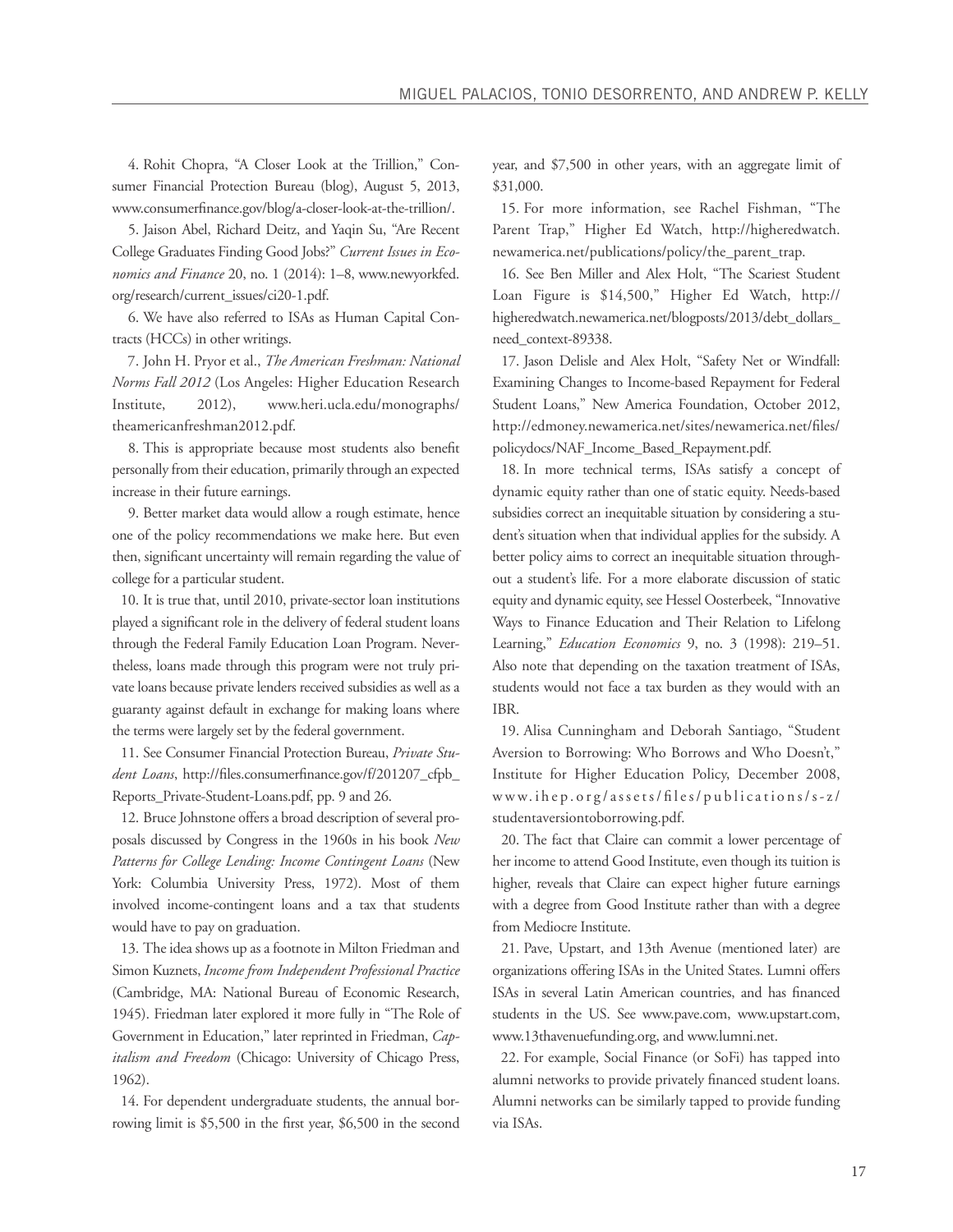4. Rohit Chopra, "A Closer Look at the Trillion," Consumer Financial Protection Bureau (blog), August 5, 2013, www.consumerfinance.gov/blog/a-closer-look-at-the-trillion/.

5. Jaison Abel, Richard Deitz, and Yaqin Su, "Are Recent College Graduates Finding Good Jobs?" *Current Issues in Economics and Finance* 20, no. 1 (2014): 1–8, www.newyorkfed. org/research/current\_issues/ci20-1.pdf.

6. We have also referred to ISAs as Human Capital Contracts (HCCs) in other writings.

7. John H. Pryor et al., *The American Freshman: National Norms Fall 2012* (Los Angeles: Higher Education Research Institute, 2012), www.heri.ucla.edu/monographs/ theamericanfreshman2012.pdf.

8. This is appropriate because most students also benefit personally from their education, primarily through an expected increase in their future earnings.

9. Better market data would allow a rough estimate, hence one of the policy recommendations we make here. But even then, significant uncertainty will remain regarding the value of college for a particular student.

10. It is true that, until 2010, private-sector loan institutions played a significant role in the delivery of federal student loans through the Federal Family Education Loan Program. Nevertheless, loans made through this program were not truly private loans because private lenders received subsidies as well as a guaranty against default in exchange for making loans where the terms were largely set by the federal government.

11. See Consumer Financial Protection Bureau, *Private Student Loans*, http://files.consumerfinance.gov/f/201207\_cfpb\_ Reports\_Private-Student-Loans.pdf, pp. 9 and 26.

12. Bruce Johnstone offers a broad description of several proposals discussed by Congress in the 1960s in his book *New Patterns for College Lending: Income Contingent Loans* (New York: Columbia University Press, 1972). Most of them involved income-contingent loans and a tax that students would have to pay on graduation.

13. The idea shows up as a footnote in Milton Friedman and Simon Kuznets, *Income from Independent Professional Practice* (Cambridge, MA: National Bureau of Economic Research, 1945). Friedman later explored it more fully in "The Role of Government in Education," later reprinted in Friedman, *Capitalism and Freedom* (Chicago: University of Chicago Press, 1962).

14. For dependent undergraduate students, the annual borrowing limit is \$5,500 in the first year, \$6,500 in the second year, and \$7,500 in other years, with an aggregate limit of \$31,000.

15. For more information, see Rachel Fishman, "The Parent Trap," Higher Ed Watch, http://higheredwatch. newamerica.net/publications/policy/the\_parent\_trap.

16. See Ben Miller and Alex Holt, "The Scariest Student Loan Figure is \$14,500," Higher Ed Watch, http:// higheredwatch.newamerica.net/blogposts/2013/debt\_dollars\_ need\_context-89338.

17. Jason Delisle and Alex Holt, "Safety Net or Windfall: Examining Changes to Income-based Repayment for Federal Student Loans," New America Foundation, October 2012, http://edmoney.newamerica.net/sites/newamerica.net/files/ policydocs/NAF\_Income\_Based\_Repayment.pdf.

18. In more technical terms, ISAs satisfy a concept of dynamic equity rather than one of static equity. Needs-based subsidies correct an inequitable situation by considering a student's situation when that individual applies for the subsidy. A better policy aims to correct an inequitable situation throughout a student's life. For a more elaborate discussion of static equity and dynamic equity, see Hessel Oosterbeek, "Innovative Ways to Finance Education and Their Relation to Lifelong Learning," *Education Economics* 9, no. 3 (1998): 219–51. Also note that depending on the taxation treatment of ISAs, students would not face a tax burden as they would with an IBR.

19. Alisa Cunningham and Deborah Santiago, "Student Aversion to Borrowing: Who Borrows and Who Doesn't," Institute for Higher Education Policy, December 2008, www.ihep.org/assets/files/publications/s-z/ studentaversiontoborrowing.pdf.

20. The fact that Claire can commit a lower percentage of her income to attend Good Institute, even though its tuition is higher, reveals that Claire can expect higher future earnings with a degree from Good Institute rather than with a degree from Mediocre Institute.

21. Pave, Upstart, and 13th Avenue (mentioned later) are organizations offering ISAs in the United States. Lumni offers ISAs in several Latin American countries, and has financed students in the US. See www.pave.com, www.upstart.com, www.13thavenuefunding.org, and www.lumni.net.

22. For example, Social Finance (or SoFi) has tapped into alumni networks to provide privately financed student loans. Alumni networks can be similarly tapped to provide funding via ISAs.